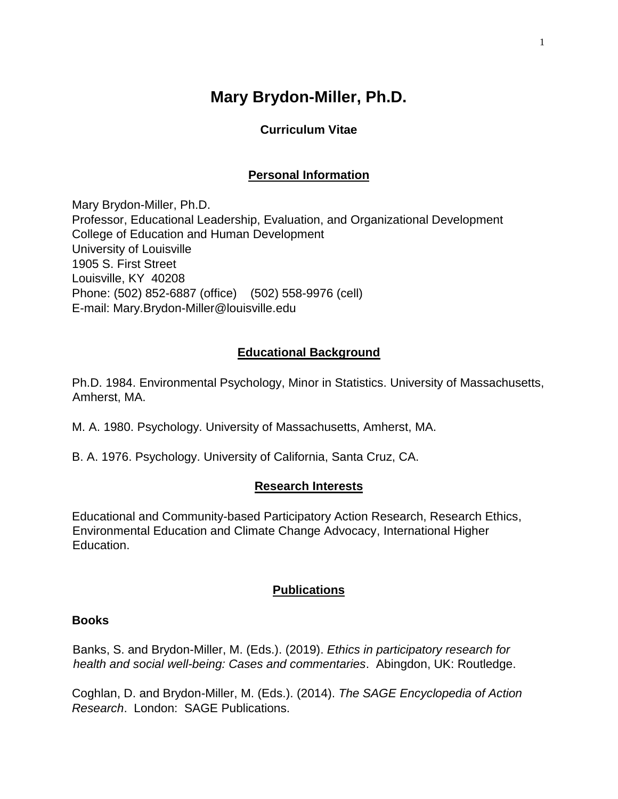# **Mary Brydon-Miller, Ph.D.**

# **Curriculum Vitae**

# **Personal Information**

Mary Brydon-Miller, Ph.D. Professor, Educational Leadership, Evaluation, and Organizational Development College of Education and Human Development University of Louisville 1905 S. First Street Louisville, KY 40208 Phone: (502) 852-6887 (office) (502) 558-9976 (cell) E-mail: Mary.Brydon-Miller@louisville.edu

# **Educational Background**

Ph.D. 1984. Environmental Psychology, Minor in Statistics. University of Massachusetts, Amherst, MA.

- M. A. 1980. Psychology. University of Massachusetts, Amherst, MA.
- B. A. 1976. Psychology. University of California, Santa Cruz, CA.

## **Research Interests**

Educational and Community-based Participatory Action Research, Research Ethics, Environmental Education and Climate Change Advocacy, International Higher Education.

## **Publications**

#### **Books**

Banks, S. and Brydon-Miller, M. (Eds.). (2019). *Ethics in participatory research for health and social well-being: Cases and commentaries*. Abingdon, UK: Routledge.

Coghlan, D. and Brydon-Miller, M. (Eds.). (2014). *The SAGE Encyclopedia of Action Research*. London: SAGE Publications.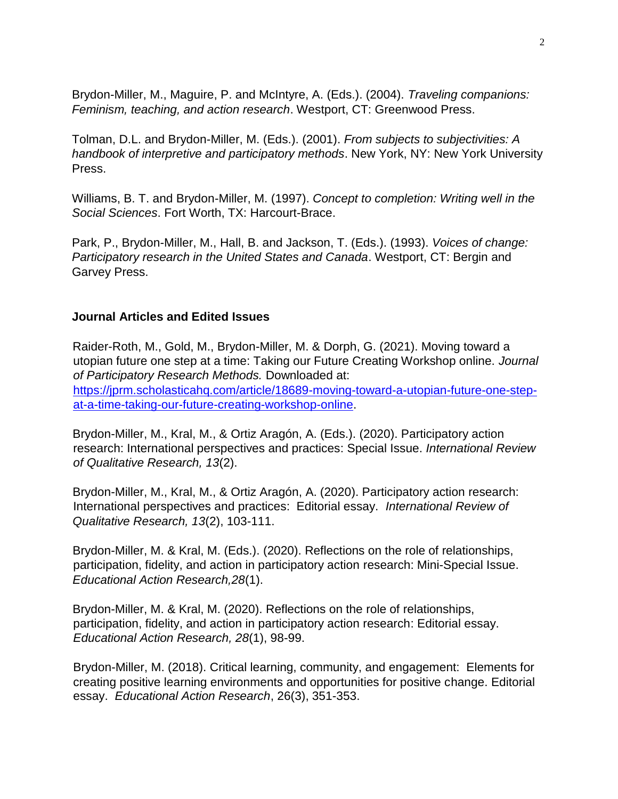Brydon-Miller, M., Maguire, P. and McIntyre, A. (Eds.). (2004). *Traveling companions: Feminism, teaching, and action research*. Westport, CT: Greenwood Press.

Tolman, D.L. and Brydon-Miller, M. (Eds.). (2001). *From subjects to subjectivities: A handbook of interpretive and participatory methods*. New York, NY: New York University Press.

Williams, B. T. and Brydon-Miller, M. (1997). *Concept to completion: Writing well in the Social Sciences*. Fort Worth, TX: Harcourt-Brace.

Park, P., Brydon-Miller, M., Hall, B. and Jackson, T. (Eds.). (1993). *Voices of change: Participatory research in the United States and Canada*. Westport, CT: Bergin and Garvey Press.

#### **Journal Articles and Edited Issues**

Raider-Roth, M., Gold, M., Brydon-Miller, M. & Dorph, G. (2021). Moving toward a utopian future one step at a time: Taking our Future Creating Workshop online. *Journal of Participatory Research Methods.* Downloaded at: [https://jprm.scholasticahq.com/article/18689-moving-toward-a-utopian-future-one-step](https://jprm.scholasticahq.com/article/18689-moving-toward-a-utopian-future-one-step-at-a-time-taking-our-future-creating-workshop-online)[at-a-time-taking-our-future-creating-workshop-online.](https://jprm.scholasticahq.com/article/18689-moving-toward-a-utopian-future-one-step-at-a-time-taking-our-future-creating-workshop-online)

Brydon-Miller, M., Kral, M., & Ortiz Aragón, A. (Eds.). (2020). Participatory action research: International perspectives and practices: Special Issue. *International Review of Qualitative Research, 13*(2).

Brydon-Miller, M., Kral, M., & Ortiz Aragón, A. (2020). Participatory action research: International perspectives and practices: Editorial essay. *International Review of Qualitative Research, 13*(2), 103-111.

Brydon-Miller, M. & Kral, M. (Eds.). (2020). Reflections on the role of relationships, participation, fidelity, and action in participatory action research: Mini-Special Issue. *Educational Action Research,28*(1).

Brydon-Miller, M. & Kral, M. (2020). Reflections on the role of relationships, participation, fidelity, and action in participatory action research: Editorial essay. *Educational Action Research, 28*(1), 98-99.

Brydon-Miller, M. (2018). Critical learning, community, and engagement: Elements for creating positive learning environments and opportunities for positive change. Editorial essay. *Educational Action Research*, 26(3), 351-353.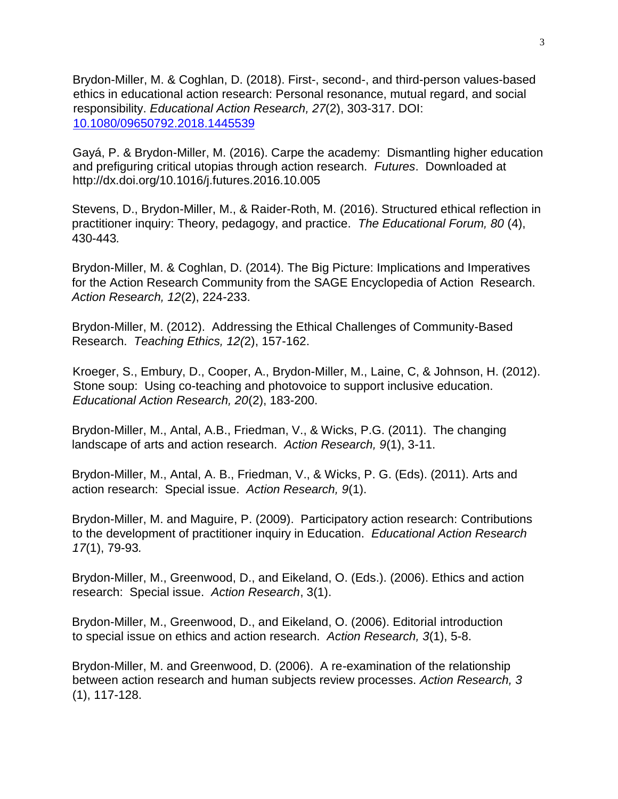Brydon-Miller, M. & Coghlan, D. (2018). First-, second-, and third-person values-based ethics in educational action research: Personal resonance, mutual regard, and social responsibility. *Educational Action Research, 27*(2), 303-317. DOI: [10.1080/09650792.2018.1445539](https://doi.org/10.1080/09650792.2018.1445539)

Gayá, P. & Brydon-Miller, M. (2016). Carpe the academy: Dismantling higher education and prefiguring critical utopias through action research. *Futures*. Downloaded at http://dx.doi.org/10.1016/j.futures.2016.10.005

Stevens, D., Brydon-Miller, M., & Raider-Roth, M. (2016). Structured ethical reflection in practitioner inquiry: Theory, pedagogy, and practice. *The Educational Forum, 80* (4), 430-443*.*

Brydon-Miller, M. & Coghlan, D. (2014). The Big Picture: Implications and Imperatives for the Action Research Community from the SAGE Encyclopedia of Action Research. *Action Research, 12*(2), 224-233.

Brydon-Miller, M. (2012). Addressing the Ethical Challenges of Community-Based Research. *Teaching Ethics, 12(*2), 157-162.

Kroeger, S., Embury, D., Cooper, A., Brydon-Miller, M., Laine, C, & Johnson, H. (2012). Stone soup: Using co-teaching and photovoice to support inclusive education. *Educational Action Research, 20*(2), 183-200.

Brydon-Miller, M., Antal, A.B., Friedman, V., & Wicks, P.G. (2011). The changing landscape of arts and action research. *Action Research, 9*(1), 3-11.

Brydon-Miller, M., Antal, A. B., Friedman, V., & Wicks, P. G. (Eds). (2011). Arts and action research: Special issue. *Action Research, 9*(1).

Brydon-Miller, M. and Maguire, P. (2009). Participatory action research: Contributions to the development of practitioner inquiry in Education. *Educational Action Research 17*(1), 79-93*.* 

Brydon-Miller, M., Greenwood, D., and Eikeland, O. (Eds.). (2006). Ethics and action research: Special issue. *Action Research*, 3(1).

Brydon-Miller, M., Greenwood, D., and Eikeland, O. (2006). Editorial introduction to special issue on ethics and action research. *Action Research, 3*(1), 5-8.

Brydon-Miller, M. and Greenwood, D. (2006). A re-examination of the relationship between action research and human subjects review processes. *Action Research, 3* (1), 117-128.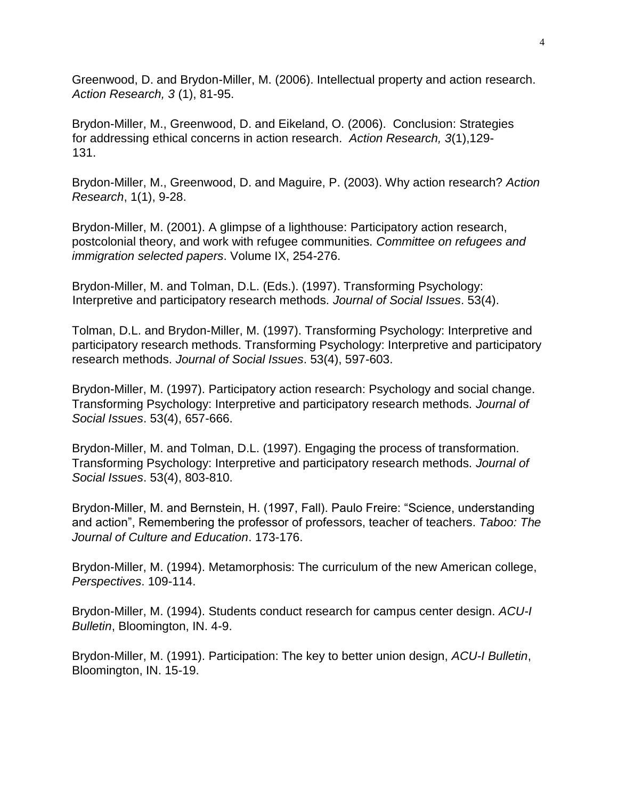Greenwood, D. and Brydon-Miller, M. (2006). Intellectual property and action research. *Action Research, 3* (1), 81-95.

Brydon-Miller, M., Greenwood, D. and Eikeland, O. (2006). Conclusion: Strategies for addressing ethical concerns in action research. *Action Research, 3*(1),129- 131.

Brydon-Miller, M., Greenwood, D. and Maguire, P. (2003). Why action research? *Action Research*, 1(1), 9-28.

Brydon-Miller, M. (2001). A glimpse of a lighthouse: Participatory action research, postcolonial theory, and work with refugee communities. *Committee on refugees and immigration selected papers*. Volume IX, 254-276.

Brydon-Miller, M. and Tolman, D.L. (Eds.). (1997). Transforming Psychology: Interpretive and participatory research methods. *Journal of Social Issues*. 53(4).

Tolman, D.L. and Brydon-Miller, M. (1997). Transforming Psychology: Interpretive and participatory research methods. Transforming Psychology: Interpretive and participatory research methods. *Journal of Social Issues*. 53(4), 597-603.

Brydon-Miller, M. (1997). Participatory action research: Psychology and social change. Transforming Psychology: Interpretive and participatory research methods. *Journal of Social Issues*. 53(4), 657-666.

Brydon-Miller, M. and Tolman, D.L. (1997). Engaging the process of transformation. Transforming Psychology: Interpretive and participatory research methods. *Journal of Social Issues*. 53(4), 803-810.

Brydon-Miller, M. and Bernstein, H. (1997, Fall). Paulo Freire: "Science, understanding and action", Remembering the professor of professors, teacher of teachers. *Taboo: The Journal of Culture and Education*. 173-176.

Brydon-Miller, M. (1994). Metamorphosis: The curriculum of the new American college, *Perspectives*. 109-114.

Brydon-Miller, M. (1994). Students conduct research for campus center design. *ACU-I Bulletin*, Bloomington, IN. 4-9.

Brydon-Miller, M. (1991). Participation: The key to better union design, *ACU-I Bulletin*, Bloomington, IN. 15-19.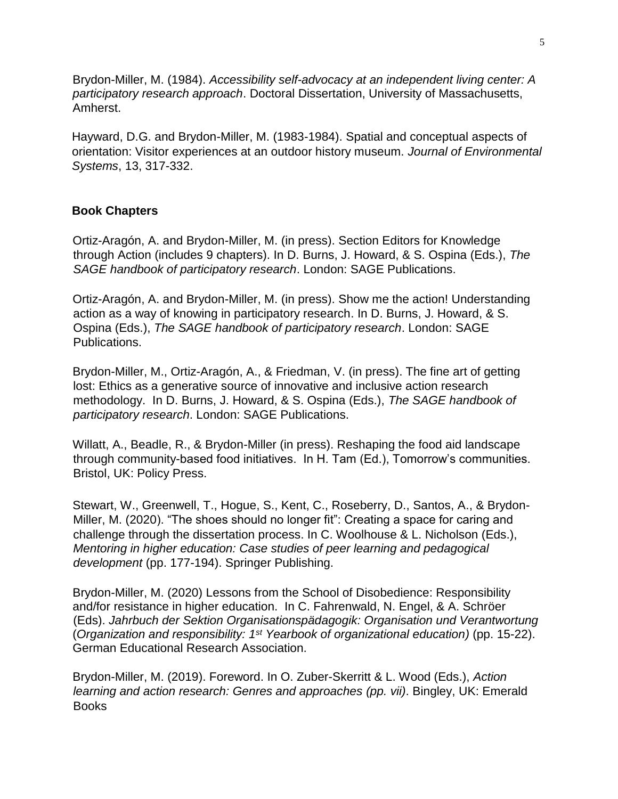Brydon-Miller, M. (1984). *Accessibility self-advocacy at an independent living center: A participatory research approach*. Doctoral Dissertation, University of Massachusetts, Amherst.

Hayward, D.G. and Brydon-Miller, M. (1983-1984). Spatial and conceptual aspects of orientation: Visitor experiences at an outdoor history museum. *Journal of Environmental Systems*, 13, 317-332.

## **Book Chapters**

Ortiz-Aragón, A. and Brydon-Miller, M. (in press). Section Editors for Knowledge through Action (includes 9 chapters). In D. Burns, J. Howard, & S. Ospina (Eds.), *The SAGE handbook of participatory research*. London: SAGE Publications.

Ortiz-Aragón, A. and Brydon-Miller, M. (in press). Show me the action! Understanding action as a way of knowing in participatory research. In D. Burns, J. Howard, & S. Ospina (Eds.), *The SAGE handbook of participatory research*. London: SAGE Publications.

Brydon-Miller, M., Ortiz-Aragón, A., & Friedman, V. (in press). The fine art of getting lost: Ethics as a generative source of innovative and inclusive action research methodology. In D. Burns, J. Howard, & S. Ospina (Eds.), *The SAGE handbook of participatory research*. London: SAGE Publications.

Willatt, A., Beadle, R., & Brydon-Miller (in press). Reshaping the food aid landscape through community-based food initiatives. In H. Tam (Ed.), Tomorrow's communities. Bristol, UK: Policy Press.

Stewart, W., Greenwell, T., Hogue, S., Kent, C., Roseberry, D., Santos, A., & Brydon-Miller, M. (2020). "The shoes should no longer fit": Creating a space for caring and challenge through the dissertation process. In C. Woolhouse & L. Nicholson (Eds.), *Mentoring in higher education: Case studies of peer learning and pedagogical development* (pp. 177-194). Springer Publishing.

Brydon-Miller, M. (2020) Lessons from the School of Disobedience: Responsibility and/for resistance in higher education. In C. Fahrenwald, N. Engel, & A. Schröer (Eds). *Jahrbuch der Sektion Organisationspädagogik: Organisation und Verantwortung* (*Organization and responsibility: 1st Yearbook of organizational education)* (pp. 15-22). German Educational Research Association.

Brydon-Miller, M. (2019). Foreword. In O. Zuber-Skerritt & L. Wood (Eds.), *Action learning and action research: Genres and approaches (pp. vii)*. Bingley, UK: Emerald **Books**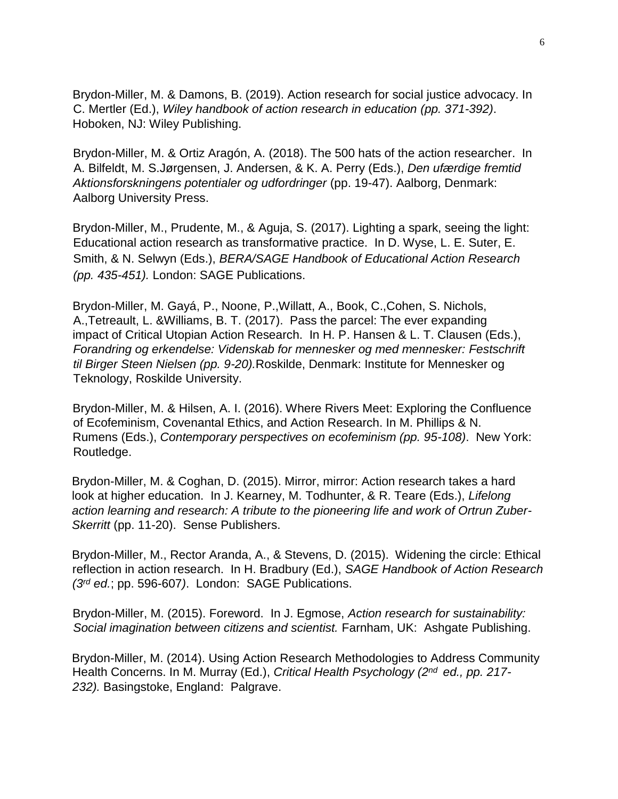Brydon-Miller, M. & Damons, B. (2019). Action research for social justice advocacy. In C. Mertler (Ed.), *Wiley handbook of action research in education (pp. 371-392)*. Hoboken, NJ: Wiley Publishing.

Brydon-Miller, M. & Ortiz Aragón, A. (2018). The 500 hats of the action researcher. In A. Bilfeldt, M. S.Jørgensen, J. Andersen, & K. A. Perry (Eds.), *Den ufærdige fremtid Aktionsforskningens potentialer og udfordringer* (pp. 19-47). Aalborg, Denmark: Aalborg University Press.

Brydon-Miller, M., Prudente, M., & Aguja, S. (2017). Lighting a spark, seeing the light: Educational action research as transformative practice. In D. Wyse, L. E. Suter, E. Smith, & N. Selwyn (Eds.), *BERA/SAGE Handbook of Educational Action Research (pp. 435-451).* London: SAGE Publications.

Brydon-Miller, M. Gayá, P., Noone, P.,Willatt, A., Book, C.,Cohen, S. Nichols, A.,Tetreault, L. &Williams, B. T. (2017). Pass the parcel: The ever expanding impact of Critical Utopian Action Research. In H. P. Hansen & L. T. Clausen (Eds.), *Forandring og erkendelse: Videnskab for mennesker og med mennesker: Festschrift til Birger Steen Nielsen (pp. 9-20).*Roskilde, Denmark: Institute for Mennesker og Teknology, Roskilde University.

Brydon-Miller, M. & Hilsen, A. I. (2016). Where Rivers Meet: Exploring the Confluence of Ecofeminism, Covenantal Ethics, and Action Research. In M. Phillips & N. Rumens (Eds.), *Contemporary perspectives on ecofeminism (pp. 95-108)*. New York: Routledge.

Brydon-Miller, M. & Coghan, D. (2015). Mirror, mirror: Action research takes a hard look at higher education. In J. Kearney, M. Todhunter, & R. Teare (Eds.), *Lifelong action learning and research: A tribute to the pioneering life and work of Ortrun Zuber-Skerritt* (pp. 11-20). Sense Publishers.

Brydon-Miller, M., Rector Aranda, A., & Stevens, D. (2015). Widening the circle: Ethical reflection in action research. In H. Bradbury (Ed.), *SAGE Handbook of Action Research (3rd ed.*; pp. 596-607*)*. London: SAGE Publications.

Brydon-Miller, M. (2015). Foreword. In J. Egmose, *Action research for sustainability: Social imagination between citizens and scientist.* Farnham, UK: Ashgate Publishing.

Brydon-Miller, M. (2014). Using Action Research Methodologies to Address Community Health Concerns. In M. Murray (Ed.), *Critical Health Psychology (2nd ed., pp. 217- 232).* Basingstoke, England: Palgrave.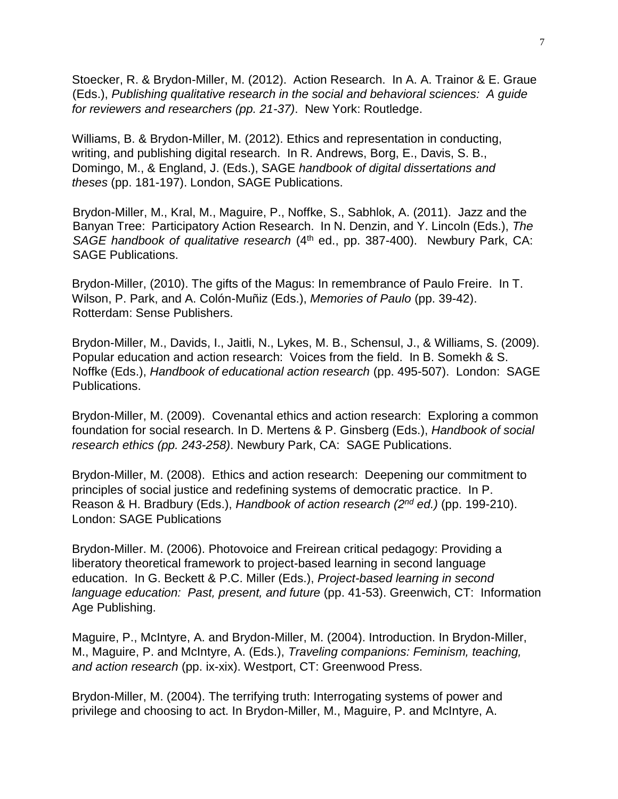Stoecker, R. & Brydon-Miller, M. (2012). Action Research. In A. A. Trainor & E. Graue (Eds.), *Publishing qualitative research in the social and behavioral sciences: A guide for reviewers and researchers (pp. 21-37)*. New York: Routledge.

Williams, B. & Brydon-Miller, M. (2012). Ethics and representation in conducting, writing, and publishing digital research. In R. Andrews, Borg, E., Davis, S. B., Domingo, M., & England, J. (Eds.), SAGE *handbook of digital dissertations and theses* (pp. 181-197). London, SAGE Publications.

Brydon-Miller, M., Kral, M., Maguire, P., Noffke, S., Sabhlok, A. (2011). Jazz and the Banyan Tree: Participatory Action Research. In N. Denzin, and Y. Lincoln (Eds.), *The SAGE handbook of qualitative research* (4<sup>th</sup> ed., pp. 387-400). Newbury Park, CA: SAGE Publications.

Brydon-Miller, (2010). The gifts of the Magus: In remembrance of Paulo Freire. In T. Wilson, P. Park, and A. Colón-Muñiz (Eds.), *Memories of Paulo* (pp. 39-42). Rotterdam: Sense Publishers.

Brydon-Miller, M., Davids, I., Jaitli, N., Lykes, M. B., Schensul, J., & Williams, S. (2009). Popular education and action research: Voices from the field. In B. Somekh & S. Noffke (Eds.), *Handbook of educational action research* (pp. 495-507). London: SAGE Publications.

Brydon-Miller, M. (2009). Covenantal ethics and action research: Exploring a common foundation for social research. In D. Mertens & P. Ginsberg (Eds.), *Handbook of social research ethics (pp. 243-258)*. Newbury Park, CA: SAGE Publications.

Brydon-Miller, M. (2008). Ethics and action research: Deepening our commitment to principles of social justice and redefining systems of democratic practice. In P. Reason & H. Bradbury (Eds.), *Handbook of action research (2nd ed.)* (pp. 199-210). London: SAGE Publications

Brydon-Miller. M. (2006). Photovoice and Freirean critical pedagogy: Providing a liberatory theoretical framework to project-based learning in second language education. In G. Beckett & P.C. Miller (Eds.), *Project-based learning in second language education: Past, present, and future* (pp. 41-53). Greenwich, CT: Information Age Publishing.

Maguire, P., McIntyre, A. and Brydon-Miller, M. (2004). Introduction. In Brydon-Miller, M., Maguire, P. and McIntyre, A. (Eds.), *Traveling companions: Feminism, teaching, and action research* (pp. ix-xix). Westport, CT: Greenwood Press.

Brydon-Miller, M. (2004). The terrifying truth: Interrogating systems of power and privilege and choosing to act. In Brydon-Miller, M., Maguire, P. and McIntyre, A.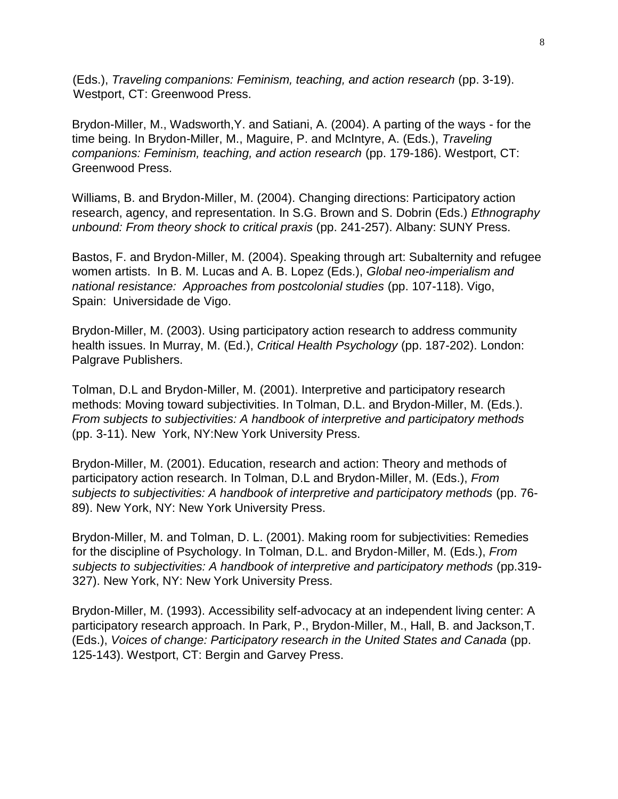(Eds.), *Traveling companions: Feminism, teaching, and action research* (pp. 3-19). Westport, CT: Greenwood Press.

Brydon-Miller, M., Wadsworth,Y. and Satiani, A. (2004). A parting of the ways - for the time being. In Brydon-Miller, M., Maguire, P. and McIntyre, A. (Eds.), *Traveling companions: Feminism, teaching, and action research* (pp. 179-186). Westport, CT: Greenwood Press.

Williams, B. and Brydon-Miller, M. (2004). Changing directions: Participatory action research, agency, and representation. In S.G. Brown and S. Dobrin (Eds.) *Ethnography unbound: From theory shock to critical praxis* (pp. 241-257). Albany: SUNY Press.

Bastos, F. and Brydon-Miller, M. (2004). Speaking through art: Subalternity and refugee women artists. In B. M. Lucas and A. B. Lopez (Eds.), *Global neo-imperialism and national resistance: Approaches from postcolonial studies* (pp. 107-118). Vigo, Spain: Universidade de Vigo.

Brydon-Miller, M. (2003). Using participatory action research to address community health issues. In Murray, M. (Ed.), *Critical Health Psychology* (pp. 187-202). London: Palgrave Publishers.

Tolman, D.L and Brydon-Miller, M. (2001). Interpretive and participatory research methods: Moving toward subjectivities. In Tolman, D.L. and Brydon-Miller, M. (Eds.). *From subjects to subjectivities: A handbook of interpretive and participatory methods* (pp. 3-11). New York, NY:New York University Press.

Brydon-Miller, M. (2001). Education, research and action: Theory and methods of participatory action research. In Tolman, D.L and Brydon-Miller, M. (Eds.), *From subjects to subjectivities: A handbook of interpretive and participatory methods* (pp. 76- 89). New York, NY: New York University Press.

Brydon-Miller, M. and Tolman, D. L. (2001). Making room for subjectivities: Remedies for the discipline of Psychology. In Tolman, D.L. and Brydon-Miller, M. (Eds.), *From subjects to subjectivities: A handbook of interpretive and participatory methods* (pp.319- 327). New York, NY: New York University Press.

Brydon-Miller, M. (1993). Accessibility self-advocacy at an independent living center: A participatory research approach. In Park, P., Brydon-Miller, M., Hall, B. and Jackson,T. (Eds.), *Voices of change: Participatory research in the United States and Canada* (pp. 125-143). Westport, CT: Bergin and Garvey Press.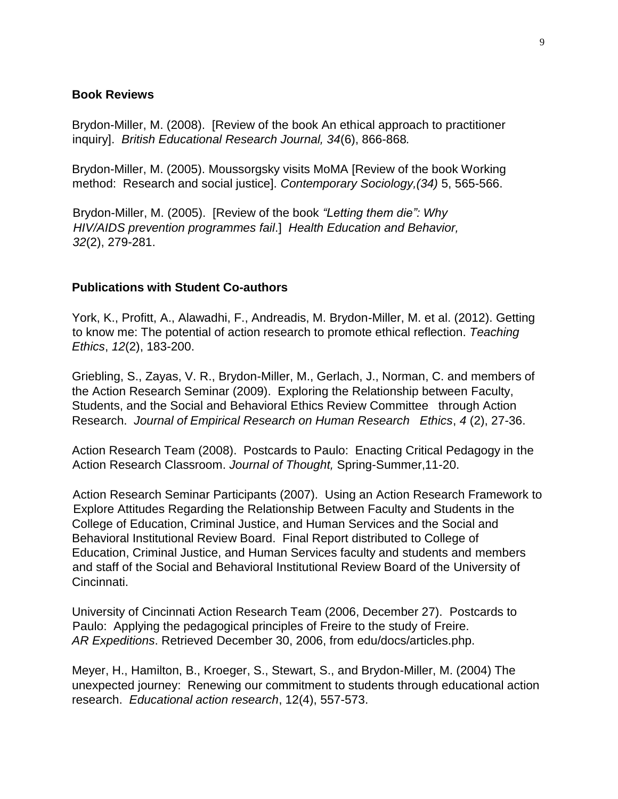#### **Book Reviews**

Brydon-Miller, M. (2008). [Review of the book An ethical approach to practitioner inquiry]. *British Educational Research Journal, 34*(6), 866-868*.* 

Brydon-Miller, M. (2005). Moussorgsky visits MoMA [Review of the book Working method: Research and social justice]. *Contemporary Sociology,(34)* 5, 565-566.

Brydon-Miller, M. (2005). [Review of the book *"Letting them die": Why HIV/AIDS prevention programmes fail*.] *Health Education and Behavior, 32*(2), 279-281.

#### **Publications with Student Co-authors**

York, K., Profitt, A., Alawadhi, F., Andreadis, M. Brydon-Miller, M. et al. (2012). Getting to know me: The potential of action research to promote ethical reflection. *Teaching Ethics*, *12*(2), 183-200.

Griebling, S., Zayas, V. R., Brydon-Miller, M., Gerlach, J., Norman, C. and members of the Action Research Seminar (2009). Exploring the Relationship between Faculty, Students, and the Social and Behavioral Ethics Review Committee through Action Research. *Journal of Empirical Research on Human Research Ethics*, *4* (2), 27-36.

Action Research Team (2008). Postcards to Paulo: Enacting Critical Pedagogy in the Action Research Classroom. *Journal of Thought,* Spring-Summer,11-20.

Action Research Seminar Participants (2007). Using an Action Research Framework to Explore Attitudes Regarding the Relationship Between Faculty and Students in the College of Education, Criminal Justice, and Human Services and the Social and Behavioral Institutional Review Board. Final Report distributed to College of Education, Criminal Justice, and Human Services faculty and students and members and staff of the Social and Behavioral Institutional Review Board of the University of Cincinnati.

University of Cincinnati Action Research Team (2006, December 27). Postcards to Paulo: Applying the pedagogical principles of Freire to the study of Freire. *AR Expeditions*. Retrieved December 30, 2006, from edu/docs/articles.php.

Meyer, H., Hamilton, B., Kroeger, S., Stewart, S., and Brydon-Miller, M. (2004) The unexpected journey: Renewing our commitment to students through educational action research. *Educational action research*, 12(4), 557-573.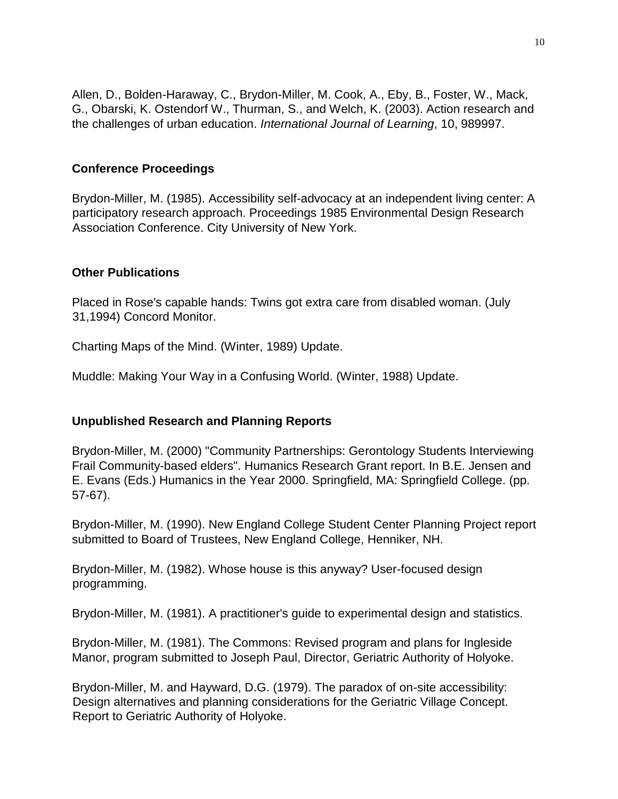Allen, D., Bolden-Haraway, C., Brydon-Miller, M. Cook, A., Eby, B., Foster, W., Mack, G., Obarski, K. Ostendorf W., Thurman, S., and Welch, K. (2003). Action research and the challenges of urban education. *International Journal of Learning*, 10, 989997.

#### **Conference Proceedings**

Brydon-Miller, M. (1985). Accessibility self-advocacy at an independent living center: A participatory research approach. Proceedings 1985 Environmental Design Research Association Conference. City University of New York.

#### **Other Publications**

Placed in Rose's capable hands: Twins got extra care from disabled woman. (July 31,1994) Concord Monitor.

Charting Maps of the Mind. (Winter, 1989) Update.

Muddle: Making Your Way in a Confusing World. (Winter, 1988) Update.

## **Unpublished Research and Planning Reports**

Brydon-Miller, M. (2000) "Community Partnerships: Gerontology Students Interviewing Frail Community-based elders". Humanics Research Grant report. In B.E. Jensen and E. Evans (Eds.) Humanics in the Year 2000. Springfield, MA: Springfield College. (pp. 57-67).

Brydon-Miller, M. (1990). New England College Student Center Planning Project report submitted to Board of Trustees, New England College, Henniker, NH.

Brydon-Miller, M. (1982). Whose house is this anyway? User-focused design programming.

Brydon-Miller, M. (1981). A practitioner's guide to experimental design and statistics.

Brydon-Miller, M. (1981). The Commons: Revised program and plans for Ingleside Manor, program submitted to Joseph Paul, Director, Geriatric Authority of Holyoke.

Brydon-Miller, M. and Hayward, D.G. (1979). The paradox of on-site accessibility: Design alternatives and planning considerations for the Geriatric Village Concept. Report to Geriatric Authority of Holyoke.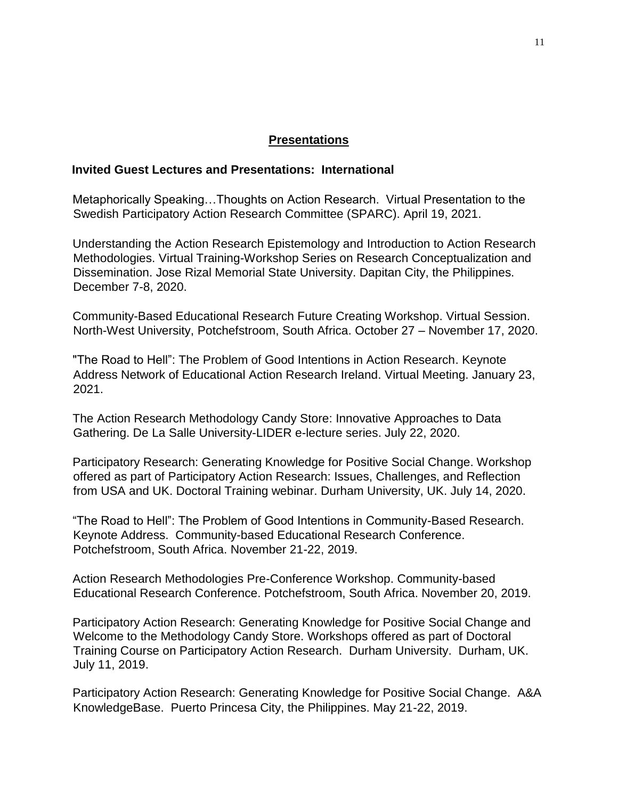#### **Presentations**

#### **Invited Guest Lectures and Presentations: International**

Metaphorically Speaking…Thoughts on Action Research. Virtual Presentation to the Swedish Participatory Action Research Committee (SPARC). April 19, 2021.

Understanding the Action Research Epistemology and Introduction to Action Research Methodologies. Virtual Training-Workshop Series on Research Conceptualization and Dissemination. Jose Rizal Memorial State University. Dapitan City, the Philippines. December 7-8, 2020.

Community-Based Educational Research Future Creating Workshop. Virtual Session. North-West University, Potchefstroom, South Africa. October 27 – November 17, 2020.

"The Road to Hell": The Problem of Good Intentions in Action Research. Keynote Address Network of Educational Action Research Ireland. Virtual Meeting. January 23, 2021.

The Action Research Methodology Candy Store: Innovative Approaches to Data Gathering. De La Salle University-LIDER e-lecture series. July 22, 2020.

Participatory Research: Generating Knowledge for Positive Social Change. Workshop offered as part of Participatory Action Research: Issues, Challenges, and Reflection from USA and UK. Doctoral Training webinar. Durham University, UK. July 14, 2020.

"The Road to Hell": The Problem of Good Intentions in Community-Based Research. Keynote Address. Community-based Educational Research Conference. Potchefstroom, South Africa. November 21-22, 2019.

Action Research Methodologies Pre-Conference Workshop. Community-based Educational Research Conference. Potchefstroom, South Africa. November 20, 2019.

Participatory Action Research: Generating Knowledge for Positive Social Change and Welcome to the Methodology Candy Store. Workshops offered as part of Doctoral Training Course on Participatory Action Research. Durham University. Durham, UK. July 11, 2019.

Participatory Action Research: Generating Knowledge for Positive Social Change. A&A KnowledgeBase. Puerto Princesa City, the Philippines. May 21-22, 2019.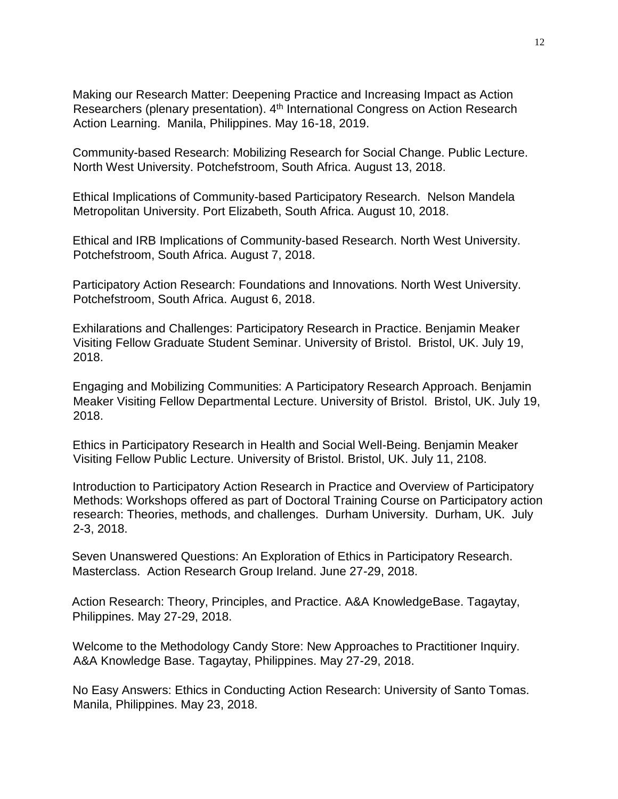Making our Research Matter: Deepening Practice and Increasing Impact as Action Researchers (plenary presentation). 4<sup>th</sup> International Congress on Action Research Action Learning. Manila, Philippines. May 16-18, 2019.

Community-based Research: Mobilizing Research for Social Change. Public Lecture. North West University. Potchefstroom, South Africa. August 13, 2018.

Ethical Implications of Community-based Participatory Research. Nelson Mandela Metropolitan University. Port Elizabeth, South Africa. August 10, 2018.

Ethical and IRB Implications of Community-based Research. North West University. Potchefstroom, South Africa. August 7, 2018.

Participatory Action Research: Foundations and Innovations. North West University. Potchefstroom, South Africa. August 6, 2018.

Exhilarations and Challenges: Participatory Research in Practice. Benjamin Meaker Visiting Fellow Graduate Student Seminar. University of Bristol. Bristol, UK. July 19, 2018.

Engaging and Mobilizing Communities: A Participatory Research Approach. Benjamin Meaker Visiting Fellow Departmental Lecture. University of Bristol. Bristol, UK. July 19, 2018.

Ethics in Participatory Research in Health and Social Well-Being. Benjamin Meaker Visiting Fellow Public Lecture. University of Bristol. Bristol, UK. July 11, 2108.

Introduction to Participatory Action Research in Practice and Overview of Participatory Methods: Workshops offered as part of Doctoral Training Course on Participatory action research: Theories, methods, and challenges. Durham University. Durham, UK. July 2-3, 2018.

Seven Unanswered Questions: An Exploration of Ethics in Participatory Research. Masterclass. Action Research Group Ireland. June 27-29, 2018.

Action Research: Theory, Principles, and Practice. A&A KnowledgeBase. Tagaytay, Philippines. May 27-29, 2018.

Welcome to the Methodology Candy Store: New Approaches to Practitioner Inquiry. A&A Knowledge Base. Tagaytay, Philippines. May 27-29, 2018.

No Easy Answers: Ethics in Conducting Action Research: University of Santo Tomas. Manila, Philippines. May 23, 2018.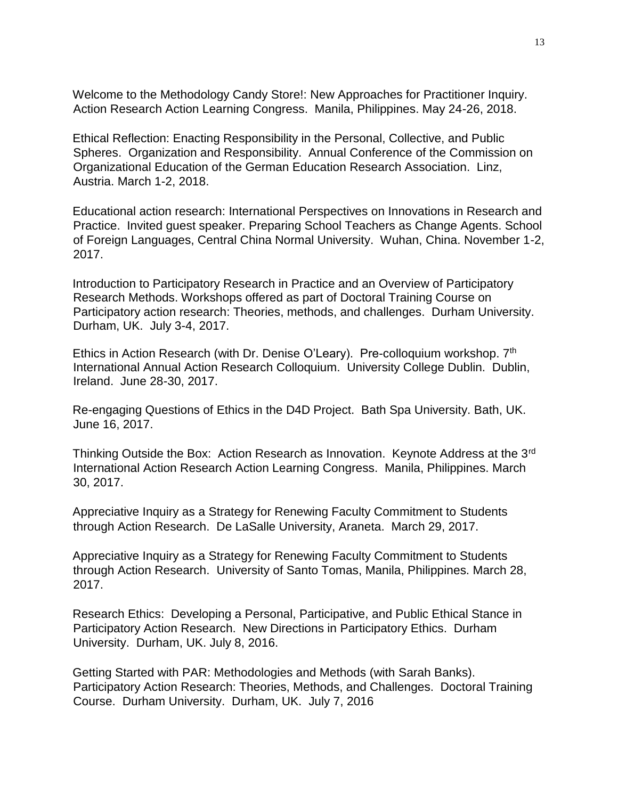Welcome to the Methodology Candy Store!: New Approaches for Practitioner Inquiry. Action Research Action Learning Congress. Manila, Philippines. May 24-26, 2018.

Ethical Reflection: Enacting Responsibility in the Personal, Collective, and Public Spheres. Organization and Responsibility. Annual Conference of the Commission on Organizational Education of the German Education Research Association. Linz, Austria. March 1-2, 2018.

Educational action research: International Perspectives on Innovations in Research and Practice. Invited guest speaker. Preparing School Teachers as Change Agents. School of Foreign Languages, Central China Normal University. Wuhan, China. November 1-2, 2017.

Introduction to Participatory Research in Practice and an Overview of Participatory Research Methods. Workshops offered as part of Doctoral Training Course on Participatory action research: Theories, methods, and challenges. Durham University. Durham, UK. July 3-4, 2017.

Ethics in Action Research (with Dr. Denise O'Leary). Pre-colloquium workshop. 7<sup>th</sup> International Annual Action Research Colloquium. University College Dublin. Dublin, Ireland. June 28-30, 2017.

Re-engaging Questions of Ethics in the D4D Project. Bath Spa University. Bath, UK. June 16, 2017.

Thinking Outside the Box: Action Research as Innovation. Keynote Address at the 3rd International Action Research Action Learning Congress. Manila, Philippines. March 30, 2017.

Appreciative Inquiry as a Strategy for Renewing Faculty Commitment to Students through Action Research. De LaSalle University, Araneta. March 29, 2017.

Appreciative Inquiry as a Strategy for Renewing Faculty Commitment to Students through Action Research. University of Santo Tomas, Manila, Philippines. March 28, 2017.

Research Ethics: Developing a Personal, Participative, and Public Ethical Stance in Participatory Action Research. New Directions in Participatory Ethics. Durham University. Durham, UK. July 8, 2016.

Getting Started with PAR: Methodologies and Methods (with Sarah Banks). Participatory Action Research: Theories, Methods, and Challenges. Doctoral Training Course. Durham University. Durham, UK. July 7, 2016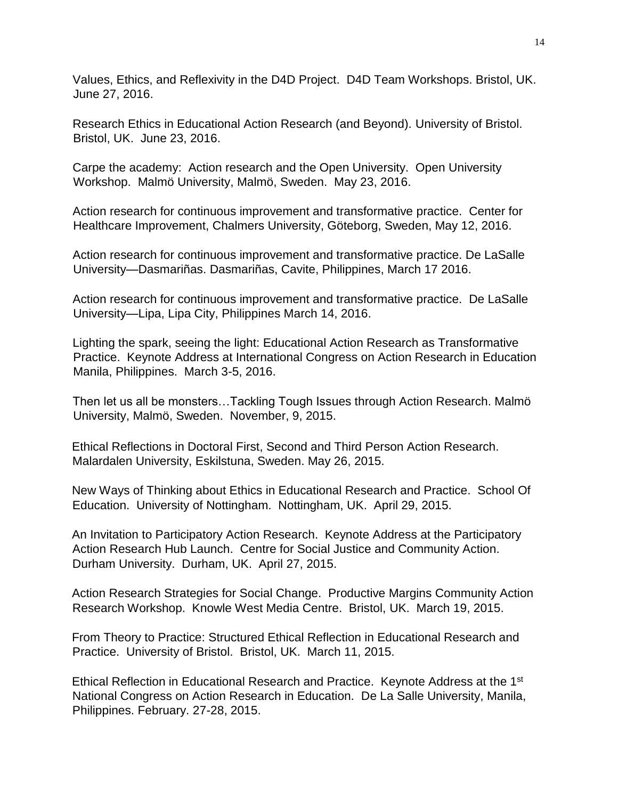Values, Ethics, and Reflexivity in the D4D Project. D4D Team Workshops. Bristol, UK. June 27, 2016.

Research Ethics in Educational Action Research (and Beyond). University of Bristol. Bristol, UK. June 23, 2016.

Carpe the academy: Action research and the Open University. Open University Workshop. Malmö University, Malmö, Sweden. May 23, 2016.

Action research for continuous improvement and transformative practice. Center for Healthcare Improvement, Chalmers University, Göteborg, Sweden, May 12, 2016.

Action research for continuous improvement and transformative practice. De LaSalle University—Dasmariñas. Dasmariñas, Cavite, Philippines, March 17 2016.

Action research for continuous improvement and transformative practice. De LaSalle University—Lipa, Lipa City, Philippines March 14, 2016.

Lighting the spark, seeing the light: Educational Action Research as Transformative Practice. Keynote Address at International Congress on Action Research in Education Manila, Philippines. March 3-5, 2016.

Then let us all be monsters…Tackling Tough Issues through Action Research. Malmö University, Malmö, Sweden. November, 9, 2015.

Ethical Reflections in Doctoral First, Second and Third Person Action Research. Malardalen University, Eskilstuna, Sweden. May 26, 2015.

New Ways of Thinking about Ethics in Educational Research and Practice. School Of Education. University of Nottingham. Nottingham, UK. April 29, 2015.

An Invitation to Participatory Action Research. Keynote Address at the Participatory Action Research Hub Launch. Centre for Social Justice and Community Action. Durham University. Durham, UK. April 27, 2015.

Action Research Strategies for Social Change. Productive Margins Community Action Research Workshop. Knowle West Media Centre. Bristol, UK. March 19, 2015.

From Theory to Practice: Structured Ethical Reflection in Educational Research and Practice. University of Bristol. Bristol, UK. March 11, 2015.

Ethical Reflection in Educational Research and Practice. Keynote Address at the 1<sup>st</sup> National Congress on Action Research in Education. De La Salle University, Manila, Philippines. February. 27-28, 2015.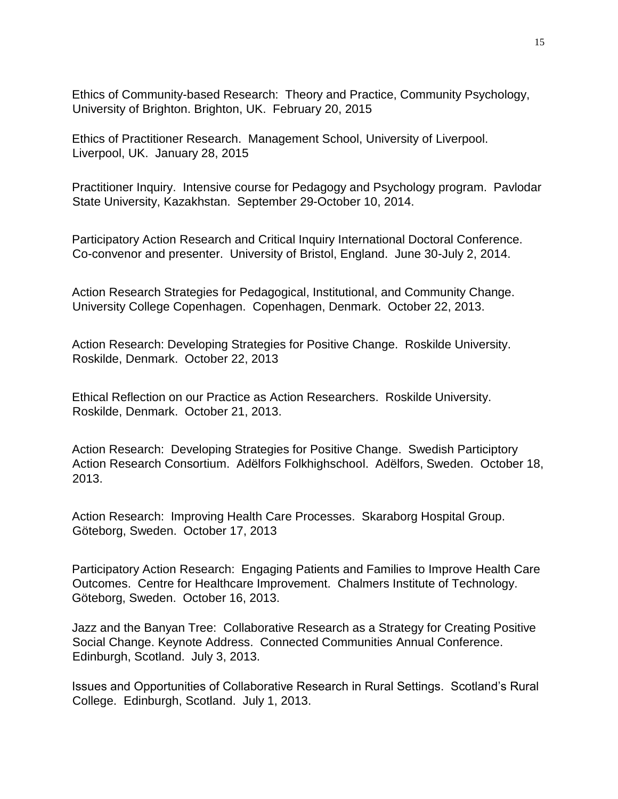Ethics of Community-based Research: Theory and Practice, Community Psychology, University of Brighton. Brighton, UK. February 20, 2015

Ethics of Practitioner Research. Management School, University of Liverpool. Liverpool, UK. January 28, 2015

Practitioner Inquiry. Intensive course for Pedagogy and Psychology program. Pavlodar State University, Kazakhstan. September 29-October 10, 2014.

Participatory Action Research and Critical Inquiry International Doctoral Conference. Co-convenor and presenter. University of Bristol, England. June 30-July 2, 2014.

Action Research Strategies for Pedagogical, Institutional, and Community Change. University College Copenhagen. Copenhagen, Denmark. October 22, 2013.

Action Research: Developing Strategies for Positive Change. Roskilde University. Roskilde, Denmark. October 22, 2013

Ethical Reflection on our Practice as Action Researchers. Roskilde University. Roskilde, Denmark. October 21, 2013.

Action Research: Developing Strategies for Positive Change. Swedish Participtory Action Research Consortium. Adëlfors Folkhighschool. Adëlfors, Sweden. October 18, 2013.

Action Research: Improving Health Care Processes. Skaraborg Hospital Group. Göteborg, Sweden. October 17, 2013

Participatory Action Research: Engaging Patients and Families to Improve Health Care Outcomes. Centre for Healthcare Improvement. Chalmers Institute of Technology. Göteborg, Sweden. October 16, 2013.

Jazz and the Banyan Tree: Collaborative Research as a Strategy for Creating Positive Social Change. Keynote Address. Connected Communities Annual Conference. Edinburgh, Scotland. July 3, 2013.

Issues and Opportunities of Collaborative Research in Rural Settings. Scotland's Rural College. Edinburgh, Scotland. July 1, 2013.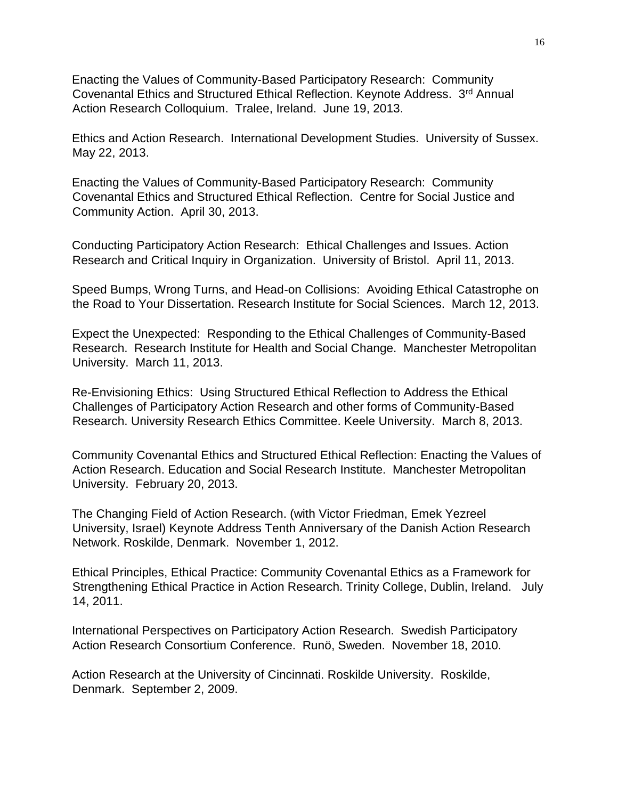Enacting the Values of Community-Based Participatory Research: Community Covenantal Ethics and Structured Ethical Reflection. Keynote Address. 3rd Annual Action Research Colloquium. Tralee, Ireland. June 19, 2013.

Ethics and Action Research. International Development Studies. University of Sussex. May 22, 2013.

Enacting the Values of Community-Based Participatory Research: Community Covenantal Ethics and Structured Ethical Reflection. Centre for Social Justice and Community Action. April 30, 2013.

Conducting Participatory Action Research: Ethical Challenges and Issues. Action Research and Critical Inquiry in Organization. University of Bristol. April 11, 2013.

Speed Bumps, Wrong Turns, and Head-on Collisions: Avoiding Ethical Catastrophe on the Road to Your Dissertation. Research Institute for Social Sciences. March 12, 2013.

Expect the Unexpected: Responding to the Ethical Challenges of Community-Based Research. Research Institute for Health and Social Change. Manchester Metropolitan University. March 11, 2013.

Re-Envisioning Ethics: Using Structured Ethical Reflection to Address the Ethical Challenges of Participatory Action Research and other forms of Community-Based Research. University Research Ethics Committee. Keele University. March 8, 2013.

[Community Covenantal Ethics and Structured Ethical Reflection: Enacting the Values of](http://www.esri.mmu.ac.uk/seminars/spring13/millar.php)  [Action Research.](http://www.esri.mmu.ac.uk/seminars/spring13/millar.php) Education and Social Research Institute. Manchester Metropolitan University. February 20, 2013.

The Changing Field of Action Research. (with Victor Friedman, Emek Yezreel University, Israel) Keynote Address Tenth Anniversary of the Danish Action Research Network. Roskilde, Denmark. November 1, 2012.

Ethical Principles, Ethical Practice: Community Covenantal Ethics as a Framework for Strengthening Ethical Practice in Action Research. Trinity College, Dublin, Ireland. July 14, 2011.

International Perspectives on Participatory Action Research. Swedish Participatory Action Research Consortium Conference. Runö, Sweden. November 18, 2010.

Action Research at the University of Cincinnati. Roskilde University. Roskilde, Denmark. September 2, 2009.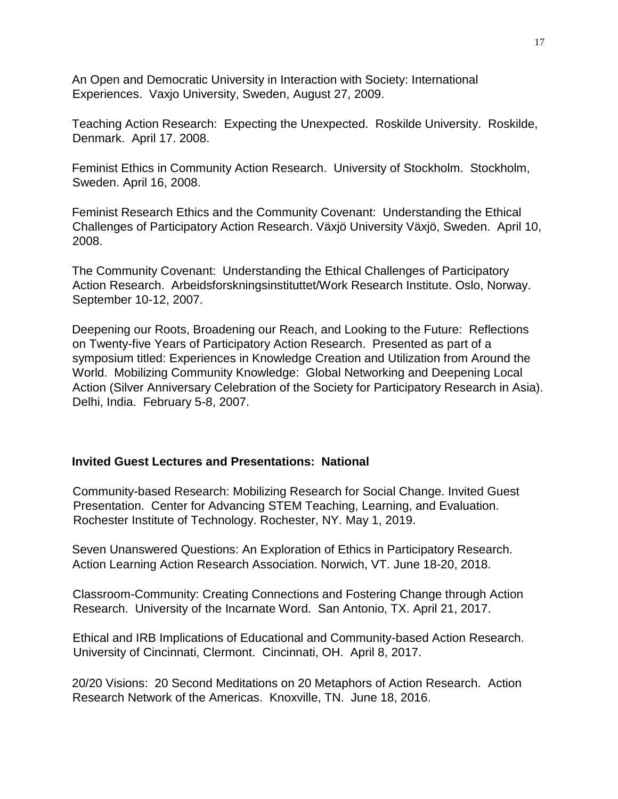An Open and Democratic University in Interaction with Society: International Experiences. Vaxjo University, Sweden, August 27, 2009.

Teaching Action Research: Expecting the Unexpected. Roskilde University. Roskilde, Denmark. April 17. 2008.

Feminist Ethics in Community Action Research. University of Stockholm. Stockholm, Sweden. April 16, 2008.

Feminist Research Ethics and the Community Covenant: Understanding the Ethical Challenges of Participatory Action Research. Växjö University Växjö, Sweden. April 10, 2008.

The Community Covenant: Understanding the Ethical Challenges of Participatory Action Research. Arbeidsforskningsinstituttet/Work Research Institute. Oslo, Norway. September 10-12, 2007.

Deepening our Roots, Broadening our Reach, and Looking to the Future: Reflections on Twenty-five Years of Participatory Action Research. Presented as part of a symposium titled: Experiences in Knowledge Creation and Utilization from Around the World. Mobilizing Community Knowledge: Global Networking and Deepening Local Action (Silver Anniversary Celebration of the Society for Participatory Research in Asia). Delhi, India. February 5-8, 2007.

## **Invited Guest Lectures and Presentations: National**

Community-based Research: Mobilizing Research for Social Change. Invited Guest Presentation. Center for Advancing STEM Teaching, Learning, and Evaluation. Rochester Institute of Technology. Rochester, NY. May 1, 2019.

Seven Unanswered Questions: An Exploration of Ethics in Participatory Research. Action Learning Action Research Association. Norwich, VT. June 18-20, 2018.

Classroom-Community: Creating Connections and Fostering Change through Action Research. University of the Incarnate Word. San Antonio, TX. April 21, 2017.

Ethical and IRB Implications of Educational and Community-based Action Research. University of Cincinnati, Clermont. Cincinnati, OH. April 8, 2017.

20/20 Visions: 20 Second Meditations on 20 Metaphors of Action Research. Action Research Network of the Americas. Knoxville, TN. June 18, 2016.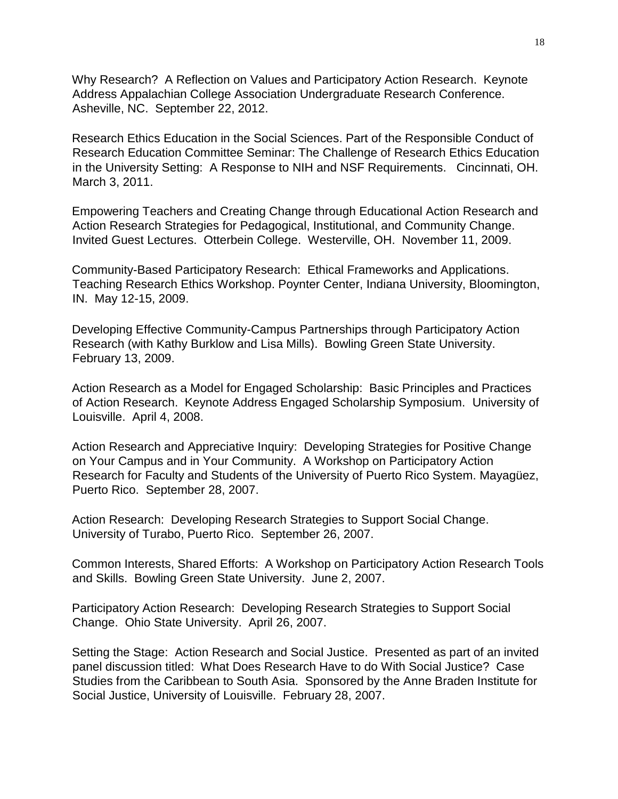Why Research? A Reflection on Values and Participatory Action Research. Keynote Address Appalachian College Association Undergraduate Research Conference. Asheville, NC. September 22, 2012.

Research Ethics Education in the Social Sciences. Part of the Responsible Conduct of Research Education Committee Seminar: The Challenge of Research Ethics Education in the University Setting: A Response to NIH and NSF Requirements. Cincinnati, OH. March 3, 2011.

Empowering Teachers and Creating Change through Educational Action Research and Action Research Strategies for Pedagogical, Institutional, and Community Change. Invited Guest Lectures. Otterbein College. Westerville, OH. November 11, 2009.

Community-Based Participatory Research: Ethical Frameworks and Applications. Teaching Research Ethics Workshop. Poynter Center, Indiana University, Bloomington, IN. May 12-15, 2009.

Developing Effective Community-Campus Partnerships through Participatory Action Research (with Kathy Burklow and Lisa Mills). Bowling Green State University. February 13, 2009.

Action Research as a Model for Engaged Scholarship: Basic Principles and Practices of Action Research. Keynote Address Engaged Scholarship Symposium. University of Louisville. April 4, 2008.

Action Research and Appreciative Inquiry: Developing Strategies for Positive Change on Your Campus and in Your Community. A Workshop on Participatory Action Research for Faculty and Students of the University of Puerto Rico System. Mayagüez, Puerto Rico. September 28, 2007.

Action Research: Developing Research Strategies to Support Social Change. University of Turabo, Puerto Rico. September 26, 2007.

Common Interests, Shared Efforts: A Workshop on Participatory Action Research Tools and Skills. Bowling Green State University. June 2, 2007.

Participatory Action Research: Developing Research Strategies to Support Social Change. Ohio State University. April 26, 2007.

Setting the Stage: Action Research and Social Justice. Presented as part of an invited panel discussion titled: What Does Research Have to do With Social Justice? Case Studies from the Caribbean to South Asia. Sponsored by the Anne Braden Institute for Social Justice, University of Louisville. February 28, 2007.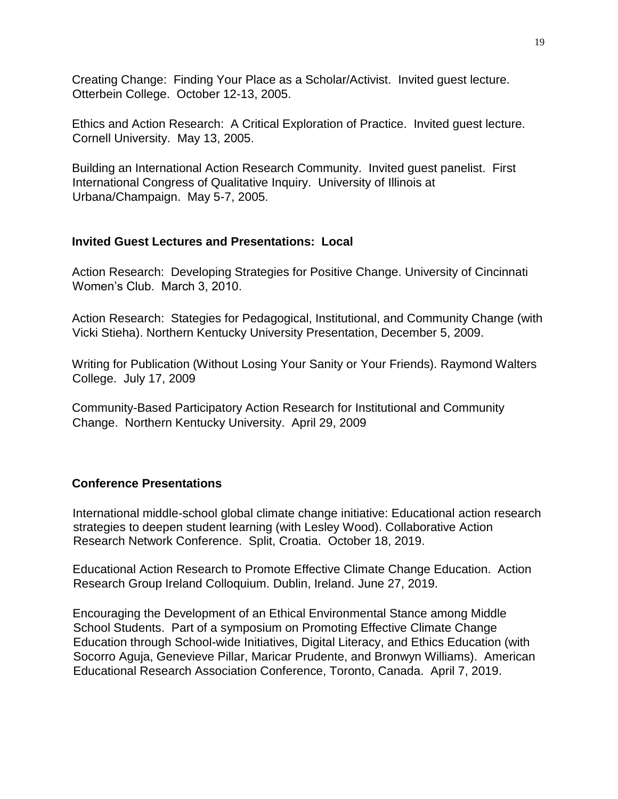Creating Change: Finding Your Place as a Scholar/Activist. Invited guest lecture. Otterbein College. October 12-13, 2005.

Ethics and Action Research: A Critical Exploration of Practice. Invited guest lecture. Cornell University. May 13, 2005.

Building an International Action Research Community. Invited guest panelist. First International Congress of Qualitative Inquiry. University of Illinois at Urbana/Champaign. May 5-7, 2005.

## **Invited Guest Lectures and Presentations: Local**

Action Research: Developing Strategies for Positive Change. University of Cincinnati Women's Club. March 3, 2010.

Action Research: Stategies for Pedagogical, Institutional, and Community Change (with Vicki Stieha). Northern Kentucky University Presentation, December 5, 2009.

Writing for Publication (Without Losing Your Sanity or Your Friends). Raymond Walters College. July 17, 2009

Community-Based Participatory Action Research for Institutional and Community Change. Northern Kentucky University. April 29, 2009

## **Conference Presentations**

International middle-school global climate change initiative: Educational action research strategies to deepen student learning (with Lesley Wood). Collaborative Action Research Network Conference. Split, Croatia. October 18, 2019.

Educational Action Research to Promote Effective Climate Change Education. Action Research Group Ireland Colloquium. Dublin, Ireland. June 27, 2019.

Encouraging the Development of an Ethical Environmental Stance among Middle School Students. Part of a symposium on Promoting Effective Climate Change Education through School-wide Initiatives, Digital Literacy, and Ethics Education (with Socorro Aguja, Genevieve Pillar, Maricar Prudente, and Bronwyn Williams). American Educational Research Association Conference, Toronto, Canada. April 7, 2019.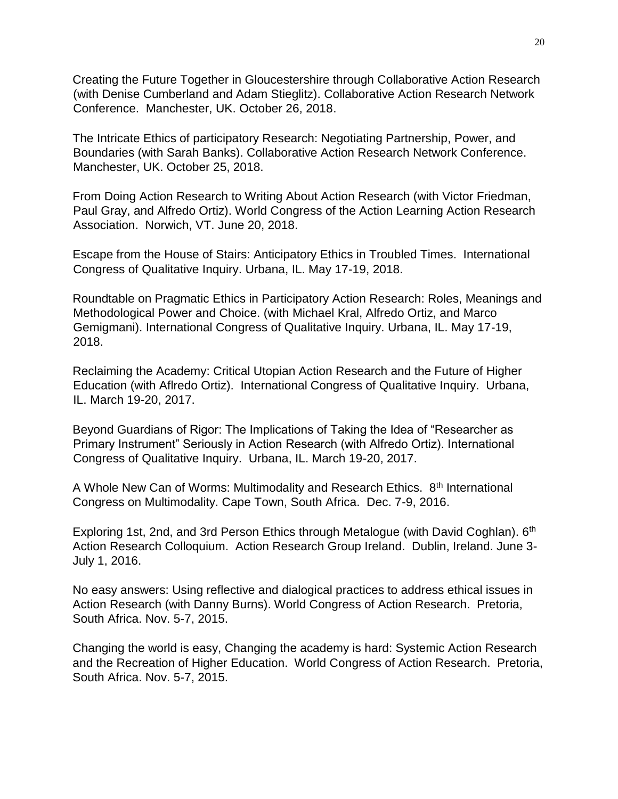Creating the Future Together in Gloucestershire through Collaborative Action Research (with Denise Cumberland and Adam Stieglitz). Collaborative Action Research Network Conference. Manchester, UK. October 26, 2018.

The Intricate Ethics of participatory Research: Negotiating Partnership, Power, and Boundaries (with Sarah Banks). Collaborative Action Research Network Conference. Manchester, UK. October 25, 2018.

From Doing Action Research to Writing About Action Research (with Victor Friedman, Paul Gray, and Alfredo Ortiz). World Congress of the Action Learning Action Research Association. Norwich, VT. June 20, 2018.

Escape from the House of Stairs: Anticipatory Ethics in Troubled Times. International Congress of Qualitative Inquiry. Urbana, IL. May 17-19, 2018.

Roundtable on Pragmatic Ethics in Participatory Action Research: Roles, Meanings and Methodological Power and Choice. (with Michael Kral, Alfredo Ortiz, and Marco Gemigmani). International Congress of Qualitative Inquiry. Urbana, IL. May 17-19, 2018.

Reclaiming the Academy: Critical Utopian Action Research and the Future of Higher Education (with Aflredo Ortiz). International Congress of Qualitative Inquiry. Urbana, IL. March 19-20, 2017.

Beyond Guardians of Rigor: The Implications of Taking the Idea of "Researcher as Primary Instrument" Seriously in Action Research (with Alfredo Ortiz). International Congress of Qualitative Inquiry. Urbana, IL. March 19-20, 2017.

A Whole New Can of Worms: Multimodality and Research Ethics. 8<sup>th</sup> International Congress on Multimodality. Cape Town, South Africa. Dec. 7-9, 2016.

Exploring 1st, 2nd, and 3rd Person Ethics through Metalogue (with David Coghlan). 6<sup>th</sup> Action Research Colloquium. Action Research Group Ireland. Dublin, Ireland. June 3- July 1, 2016.

No easy answers: Using reflective and dialogical practices to address ethical issues in Action Research (with Danny Burns). World Congress of Action Research. Pretoria, South Africa. Nov. 5-7, 2015.

Changing the world is easy, Changing the academy is hard: Systemic Action Research and the Recreation of Higher Education. World Congress of Action Research. Pretoria, South Africa. Nov. 5-7, 2015.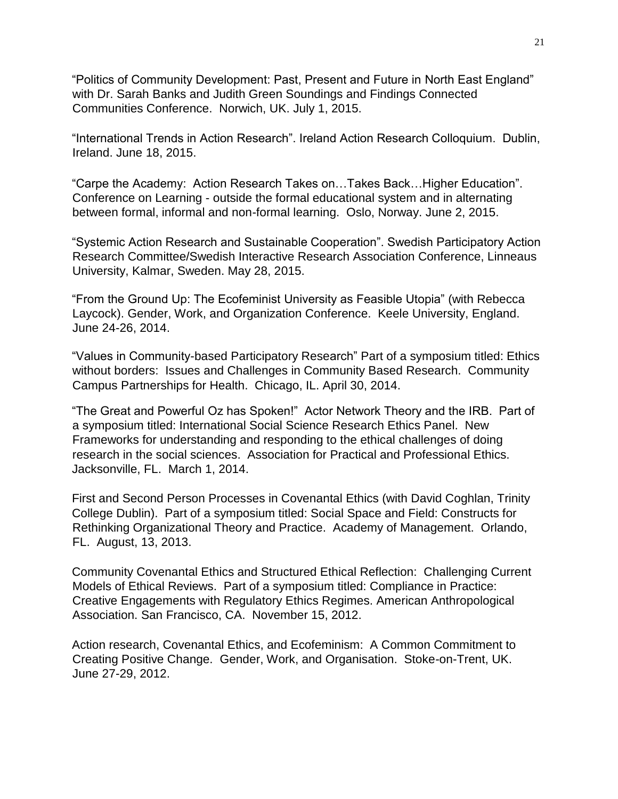"Politics of Community Development: Past, Present and Future in North East England" with Dr. Sarah Banks and Judith Green Soundings and Findings Connected Communities Conference. Norwich, UK. July 1, 2015.

"International Trends in Action Research". Ireland Action Research Colloquium. Dublin, Ireland. June 18, 2015.

"Carpe the Academy: Action Research Takes on…Takes Back…Higher Education". Conference on Learning - outside the formal educational system and in alternating between formal, informal and non-formal learning. Oslo, Norway. June 2, 2015.

"Systemic Action Research and Sustainable Cooperation". Swedish Participatory Action Research Committee/Swedish Interactive Research Association Conference, Linneaus University, Kalmar, Sweden. May 28, 2015.

"From the Ground Up: The Ecofeminist University as Feasible Utopia" (with Rebecca Laycock). Gender, Work, and Organization Conference. Keele University, England. June 24-26, 2014.

"Values in Community-based Participatory Research" Part of a symposium titled: Ethics without borders: Issues and Challenges in Community Based Research. Community Campus Partnerships for Health. Chicago, IL. April 30, 2014.

"The Great and Powerful Oz has Spoken!" Actor Network Theory and the IRB. Part of a symposium titled: International Social Science Research Ethics Panel. New Frameworks for understanding and responding to the ethical challenges of doing research in the social sciences. Association for Practical and Professional Ethics. Jacksonville, FL. March 1, 2014.

First and Second Person Processes in Covenantal Ethics (with David Coghlan, Trinity College Dublin). Part of a symposium titled: Social Space and Field: Constructs for Rethinking Organizational Theory and Practice. Academy of Management. Orlando, FL. August, 13, 2013.

Community Covenantal Ethics and Structured Ethical Reflection: Challenging Current Models of Ethical Reviews. Part of a symposium titled: Compliance in Practice: Creative Engagements with Regulatory Ethics Regimes. American Anthropological Association. San Francisco, CA. November 15, 2012.

Action research, Covenantal Ethics, and Ecofeminism: A Common Commitment to Creating Positive Change. Gender, Work, and Organisation. Stoke-on-Trent, UK. June 27-29, 2012.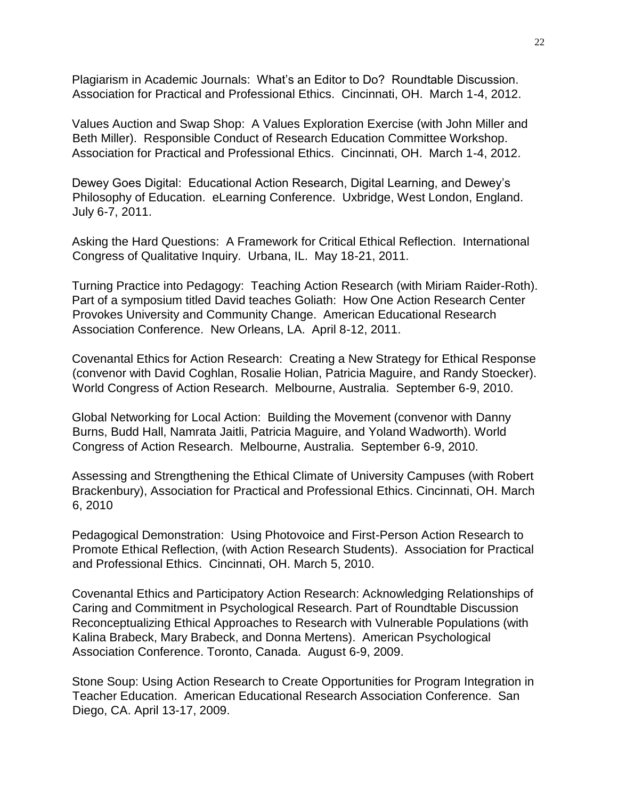Plagiarism in Academic Journals: What's an Editor to Do? Roundtable Discussion. Association for Practical and Professional Ethics. Cincinnati, OH. March 1-4, 2012.

Values Auction and Swap Shop: A Values Exploration Exercise (with John Miller and Beth Miller). Responsible Conduct of Research Education Committee Workshop. Association for Practical and Professional Ethics. Cincinnati, OH. March 1-4, 2012.

Dewey Goes Digital: Educational Action Research, Digital Learning, and Dewey's Philosophy of Education. eLearning Conference. Uxbridge, West London, England. July 6-7, 2011.

Asking the Hard Questions: A Framework for Critical Ethical Reflection. International Congress of Qualitative Inquiry. Urbana, IL. May 18-21, 2011.

Turning Practice into Pedagogy: Teaching Action Research (with Miriam Raider-Roth). Part of a symposium titled David teaches Goliath: How One Action Research Center Provokes University and Community Change. American Educational Research Association Conference. New Orleans, LA. April 8-12, 2011.

Covenantal Ethics for Action Research: Creating a New Strategy for Ethical Response (convenor with David Coghlan, Rosalie Holian, Patricia Maguire, and Randy Stoecker). World Congress of Action Research. Melbourne, Australia. September 6-9, 2010.

Global Networking for Local Action: Building the Movement (convenor with Danny Burns, Budd Hall, Namrata Jaitli, Patricia Maguire, and Yoland Wadworth). World Congress of Action Research. Melbourne, Australia. September 6-9, 2010.

Assessing and Strengthening the Ethical Climate of University Campuses (with Robert Brackenbury), Association for Practical and Professional Ethics. Cincinnati, OH. March 6, 2010

Pedagogical Demonstration: Using Photovoice and First-Person Action Research to Promote Ethical Reflection, (with Action Research Students). Association for Practical and Professional Ethics. Cincinnati, OH. March 5, 2010.

Covenantal Ethics and Participatory Action Research: Acknowledging Relationships of Caring and Commitment in Psychological Research. Part of Roundtable Discussion Reconceptualizing Ethical Approaches to Research with Vulnerable Populations (with Kalina Brabeck, Mary Brabeck, and Donna Mertens). American Psychological Association Conference. Toronto, Canada. August 6-9, 2009.

Stone Soup: Using Action Research to Create Opportunities for Program Integration in Teacher Education. American Educational Research Association Conference. San Diego, CA. April 13-17, 2009.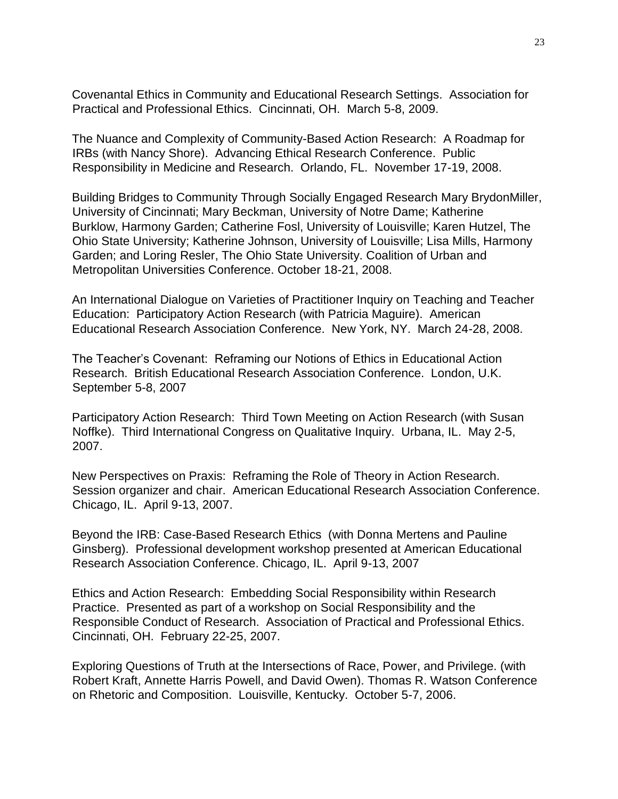Covenantal Ethics in Community and Educational Research Settings. Association for Practical and Professional Ethics. Cincinnati, OH. March 5-8, 2009.

The Nuance and Complexity of Community-Based Action Research: A Roadmap for IRBs (with Nancy Shore). Advancing Ethical Research Conference. Public Responsibility in Medicine and Research. Orlando, FL. November 17-19, 2008.

Building Bridges to Community Through Socially Engaged Research Mary BrydonMiller, University of Cincinnati; Mary Beckman, University of Notre Dame; Katherine Burklow, Harmony Garden; Catherine Fosl, University of Louisville; Karen Hutzel, The Ohio State University; Katherine Johnson, University of Louisville; Lisa Mills, Harmony Garden; and Loring Resler, The Ohio State University. Coalition of Urban and Metropolitan Universities Conference. October 18-21, 2008.

An International Dialogue on Varieties of Practitioner Inquiry on Teaching and Teacher Education: Participatory Action Research (with Patricia Maguire). American Educational Research Association Conference. New York, NY. March 24-28, 2008.

The Teacher's Covenant: Reframing our Notions of Ethics in Educational Action Research. British Educational Research Association Conference. London, U.K. September 5-8, 2007

Participatory Action Research: Third Town Meeting on Action Research (with Susan Noffke). Third International Congress on Qualitative Inquiry. Urbana, IL. May 2-5, 2007.

New Perspectives on Praxis: Reframing the Role of Theory in Action Research. Session organizer and chair. American Educational Research Association Conference. Chicago, IL. April 9-13, 2007.

Beyond the IRB: Case-Based Research Ethics (with Donna Mertens and Pauline Ginsberg). Professional development workshop presented at American Educational Research Association Conference. Chicago, IL. April 9-13, 2007

Ethics and Action Research: Embedding Social Responsibility within Research Practice. Presented as part of a workshop on Social Responsibility and the Responsible Conduct of Research. Association of Practical and Professional Ethics. Cincinnati, OH. February 22-25, 2007.

Exploring Questions of Truth at the Intersections of Race, Power, and Privilege. (with Robert Kraft, Annette Harris Powell, and David Owen). Thomas R. Watson Conference on Rhetoric and Composition. Louisville, Kentucky. October 5-7, 2006.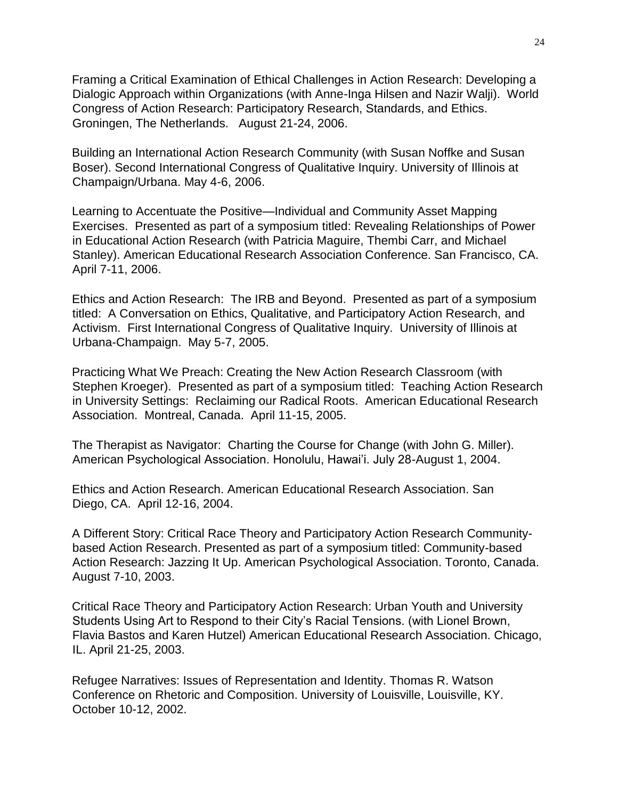Framing a Critical Examination of Ethical Challenges in Action Research: Developing a Dialogic Approach within Organizations (with Anne-Inga Hilsen and Nazir Walji). World Congress of Action Research: Participatory Research, Standards, and Ethics. Groningen, The Netherlands. August 21-24, 2006.

Building an International Action Research Community (with Susan Noffke and Susan Boser). Second International Congress of Qualitative Inquiry. University of Illinois at Champaign/Urbana. May 4-6, 2006.

Learning to Accentuate the Positive—Individual and Community Asset Mapping Exercises. Presented as part of a symposium titled: Revealing Relationships of Power in Educational Action Research (with Patricia Maguire, Thembi Carr, and Michael Stanley). American Educational Research Association Conference. San Francisco, CA. April 7-11, 2006.

Ethics and Action Research: The IRB and Beyond. Presented as part of a symposium titled: A Conversation on Ethics, Qualitative, and Participatory Action Research, and Activism. First International Congress of Qualitative Inquiry. University of Illinois at Urbana-Champaign. May 5-7, 2005.

Practicing What We Preach: Creating the New Action Research Classroom (with Stephen Kroeger). Presented as part of a symposium titled: Teaching Action Research in University Settings: Reclaiming our Radical Roots. American Educational Research Association. Montreal, Canada. April 11-15, 2005.

The Therapist as Navigator: Charting the Course for Change (with John G. Miller). American Psychological Association. Honolulu, Hawai'i. July 28-August 1, 2004.

Ethics and Action Research. American Educational Research Association. San Diego, CA. April 12-16, 2004.

A Different Story: Critical Race Theory and Participatory Action Research Communitybased Action Research. Presented as part of a symposium titled: Community-based Action Research: Jazzing It Up. American Psychological Association. Toronto, Canada. August 7-10, 2003.

Critical Race Theory and Participatory Action Research: Urban Youth and University Students Using Art to Respond to their City's Racial Tensions. (with Lionel Brown, Flavia Bastos and Karen Hutzel) American Educational Research Association. Chicago, IL. April 21-25, 2003.

Refugee Narratives: Issues of Representation and Identity. Thomas R. Watson Conference on Rhetoric and Composition. University of Louisville, Louisville, KY. October 10-12, 2002.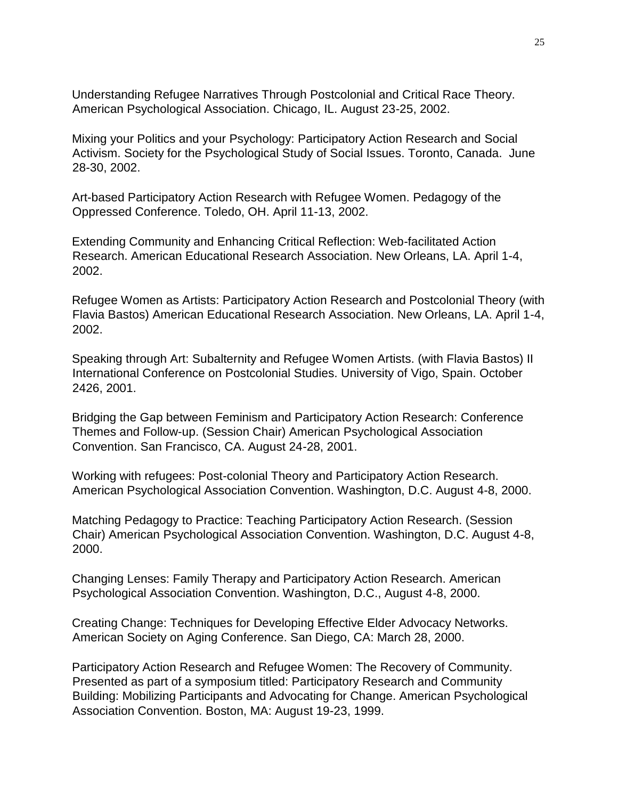Understanding Refugee Narratives Through Postcolonial and Critical Race Theory. American Psychological Association. Chicago, IL. August 23-25, 2002.

Mixing your Politics and your Psychology: Participatory Action Research and Social Activism. Society for the Psychological Study of Social Issues. Toronto, Canada. June 28-30, 2002.

Art-based Participatory Action Research with Refugee Women. Pedagogy of the Oppressed Conference. Toledo, OH. April 11-13, 2002.

Extending Community and Enhancing Critical Reflection: Web-facilitated Action Research. American Educational Research Association. New Orleans, LA. April 1-4, 2002.

Refugee Women as Artists: Participatory Action Research and Postcolonial Theory (with Flavia Bastos) American Educational Research Association. New Orleans, LA. April 1-4, 2002.

Speaking through Art: Subalternity and Refugee Women Artists. (with Flavia Bastos) II International Conference on Postcolonial Studies. University of Vigo, Spain. October 2426, 2001.

Bridging the Gap between Feminism and Participatory Action Research: Conference Themes and Follow-up. (Session Chair) American Psychological Association Convention. San Francisco, CA. August 24-28, 2001.

Working with refugees: Post-colonial Theory and Participatory Action Research. American Psychological Association Convention. Washington, D.C. August 4-8, 2000.

Matching Pedagogy to Practice: Teaching Participatory Action Research. (Session Chair) American Psychological Association Convention. Washington, D.C. August 4-8, 2000.

Changing Lenses: Family Therapy and Participatory Action Research. American Psychological Association Convention. Washington, D.C., August 4-8, 2000.

Creating Change: Techniques for Developing Effective Elder Advocacy Networks. American Society on Aging Conference. San Diego, CA: March 28, 2000.

Participatory Action Research and Refugee Women: The Recovery of Community. Presented as part of a symposium titled: Participatory Research and Community Building: Mobilizing Participants and Advocating for Change. American Psychological Association Convention. Boston, MA: August 19-23, 1999.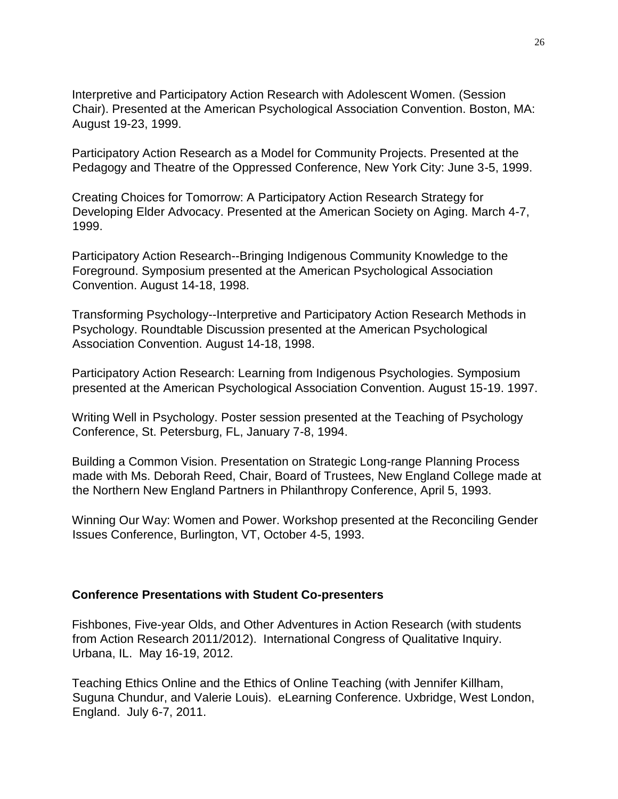Interpretive and Participatory Action Research with Adolescent Women. (Session Chair). Presented at the American Psychological Association Convention. Boston, MA: August 19-23, 1999.

Participatory Action Research as a Model for Community Projects. Presented at the Pedagogy and Theatre of the Oppressed Conference, New York City: June 3-5, 1999.

Creating Choices for Tomorrow: A Participatory Action Research Strategy for Developing Elder Advocacy. Presented at the American Society on Aging. March 4-7, 1999.

Participatory Action Research--Bringing Indigenous Community Knowledge to the Foreground. Symposium presented at the American Psychological Association Convention. August 14-18, 1998.

Transforming Psychology--Interpretive and Participatory Action Research Methods in Psychology. Roundtable Discussion presented at the American Psychological Association Convention. August 14-18, 1998.

Participatory Action Research: Learning from Indigenous Psychologies. Symposium presented at the American Psychological Association Convention. August 15-19. 1997.

Writing Well in Psychology. Poster session presented at the Teaching of Psychology Conference, St. Petersburg, FL, January 7-8, 1994.

Building a Common Vision. Presentation on Strategic Long-range Planning Process made with Ms. Deborah Reed, Chair, Board of Trustees, New England College made at the Northern New England Partners in Philanthropy Conference, April 5, 1993.

Winning Our Way: Women and Power. Workshop presented at the Reconciling Gender Issues Conference, Burlington, VT, October 4-5, 1993.

#### **Conference Presentations with Student Co-presenters**

Fishbones, Five-year Olds, and Other Adventures in Action Research (with students from Action Research 2011/2012). International Congress of Qualitative Inquiry. Urbana, IL. May 16-19, 2012.

Teaching Ethics Online and the Ethics of Online Teaching (with Jennifer Killham, Suguna Chundur, and Valerie Louis). eLearning Conference. Uxbridge, West London, England. July 6-7, 2011.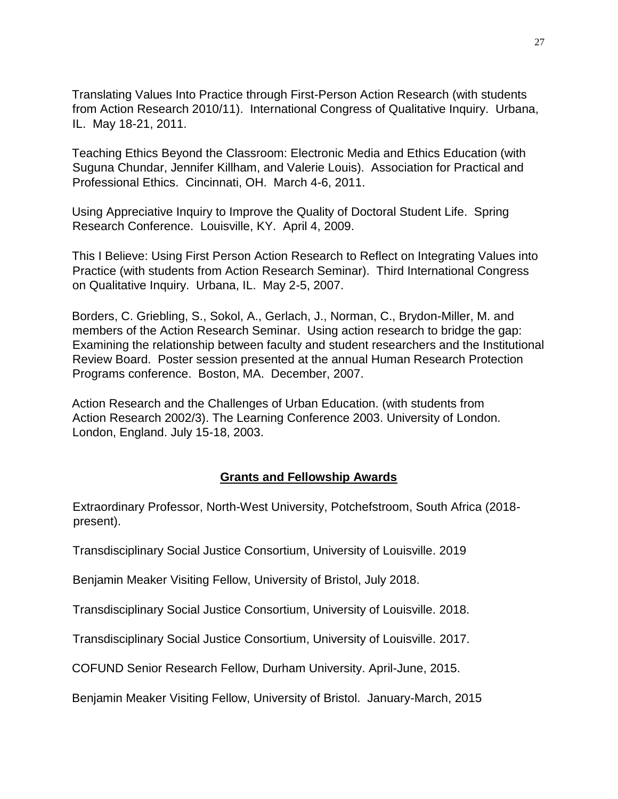Translating Values Into Practice through First-Person Action Research (with students from Action Research 2010/11). International Congress of Qualitative Inquiry. Urbana, IL. May 18-21, 2011.

Teaching Ethics Beyond the Classroom: Electronic Media and Ethics Education (with Suguna Chundar, Jennifer Killham, and Valerie Louis). Association for Practical and Professional Ethics. Cincinnati, OH. March 4-6, 2011.

Using Appreciative Inquiry to Improve the Quality of Doctoral Student Life. Spring Research Conference. Louisville, KY. April 4, 2009.

This I Believe: Using First Person Action Research to Reflect on Integrating Values into Practice (with students from Action Research Seminar). Third International Congress on Qualitative Inquiry. Urbana, IL. May 2-5, 2007.

Borders, C. Griebling, S., Sokol, A., Gerlach, J., Norman, C., Brydon-Miller, M. and members of the Action Research Seminar. Using action research to bridge the gap: Examining the relationship between faculty and student researchers and the Institutional Review Board. Poster session presented at the annual Human Research Protection Programs conference. Boston, MA. December, 2007.

Action Research and the Challenges of Urban Education. (with students from Action Research 2002/3). The Learning Conference 2003. University of London. London, England. July 15-18, 2003.

## **Grants and Fellowship Awards**

Extraordinary Professor, North-West University, Potchefstroom, South Africa (2018 present).

Transdisciplinary Social Justice Consortium, University of Louisville. 2019

Benjamin Meaker Visiting Fellow, University of Bristol, July 2018.

Transdisciplinary Social Justice Consortium, University of Louisville. 2018.

Transdisciplinary Social Justice Consortium, University of Louisville. 2017.

COFUND Senior Research Fellow, Durham University. April-June, 2015.

Benjamin Meaker Visiting Fellow, University of Bristol. January-March, 2015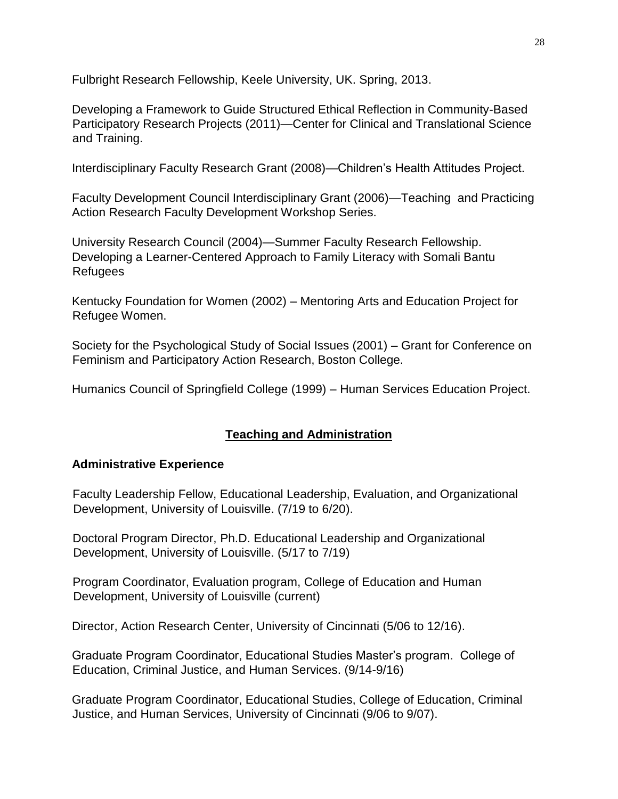Fulbright Research Fellowship, Keele University, UK. Spring, 2013.

Developing a Framework to Guide Structured Ethical Reflection in Community-Based Participatory Research Projects (2011)—Center for Clinical and Translational Science and Training.

Interdisciplinary Faculty Research Grant (2008)—Children's Health Attitudes Project.

Faculty Development Council Interdisciplinary Grant (2006)—Teaching and Practicing Action Research Faculty Development Workshop Series.

University Research Council (2004)—Summer Faculty Research Fellowship. Developing a Learner-Centered Approach to Family Literacy with Somali Bantu Refugees

Kentucky Foundation for Women (2002) – Mentoring Arts and Education Project for Refugee Women.

Society for the Psychological Study of Social Issues (2001) – Grant for Conference on Feminism and Participatory Action Research, Boston College.

Humanics Council of Springfield College (1999) – Human Services Education Project.

## **Teaching and Administration**

## **Administrative Experience**

Faculty Leadership Fellow, Educational Leadership, Evaluation, and Organizational Development, University of Louisville. (7/19 to 6/20).

Doctoral Program Director, Ph.D. Educational Leadership and Organizational Development, University of Louisville. (5/17 to 7/19)

Program Coordinator, Evaluation program, College of Education and Human Development, University of Louisville (current)

Director, Action Research Center, University of Cincinnati (5/06 to 12/16).

Graduate Program Coordinator, Educational Studies Master's program. College of Education, Criminal Justice, and Human Services. (9/14-9/16)

Graduate Program Coordinator, Educational Studies, College of Education, Criminal Justice, and Human Services, University of Cincinnati (9/06 to 9/07).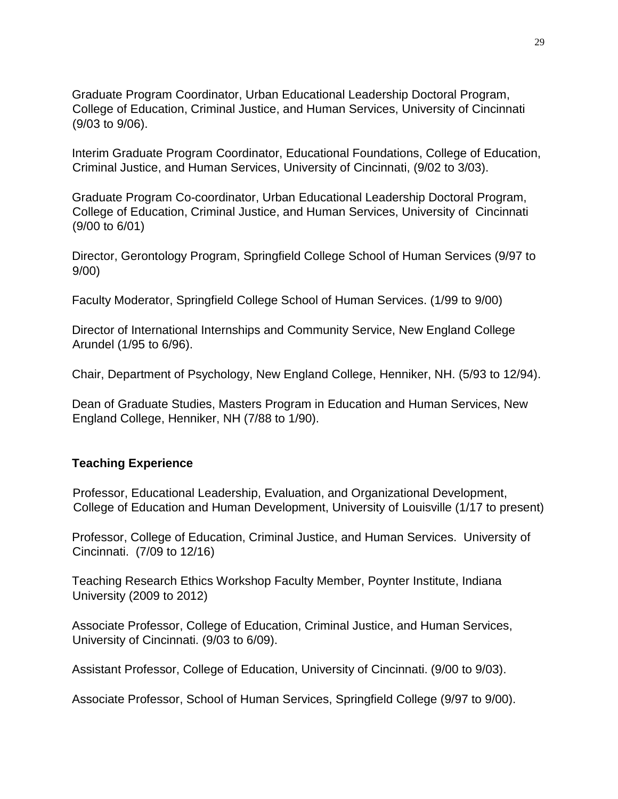Graduate Program Coordinator, Urban Educational Leadership Doctoral Program, College of Education, Criminal Justice, and Human Services, University of Cincinnati (9/03 to 9/06).

Interim Graduate Program Coordinator, Educational Foundations, College of Education, Criminal Justice, and Human Services, University of Cincinnati, (9/02 to 3/03).

Graduate Program Co-coordinator, Urban Educational Leadership Doctoral Program, College of Education, Criminal Justice, and Human Services, University of Cincinnati (9/00 to 6/01)

Director, Gerontology Program, Springfield College School of Human Services (9/97 to 9/00)

Faculty Moderator, Springfield College School of Human Services. (1/99 to 9/00)

Director of International Internships and Community Service, New England College Arundel (1/95 to 6/96).

Chair, Department of Psychology, New England College, Henniker, NH. (5/93 to 12/94).

Dean of Graduate Studies, Masters Program in Education and Human Services, New England College, Henniker, NH (7/88 to 1/90).

#### **Teaching Experience**

Professor, Educational Leadership, Evaluation, and Organizational Development, College of Education and Human Development, University of Louisville (1/17 to present)

Professor, College of Education, Criminal Justice, and Human Services. University of Cincinnati. (7/09 to 12/16)

Teaching Research Ethics Workshop Faculty Member, Poynter Institute, Indiana University (2009 to 2012)

Associate Professor, College of Education, Criminal Justice, and Human Services, University of Cincinnati. (9/03 to 6/09).

Assistant Professor, College of Education, University of Cincinnati. (9/00 to 9/03).

Associate Professor, School of Human Services, Springfield College (9/97 to 9/00).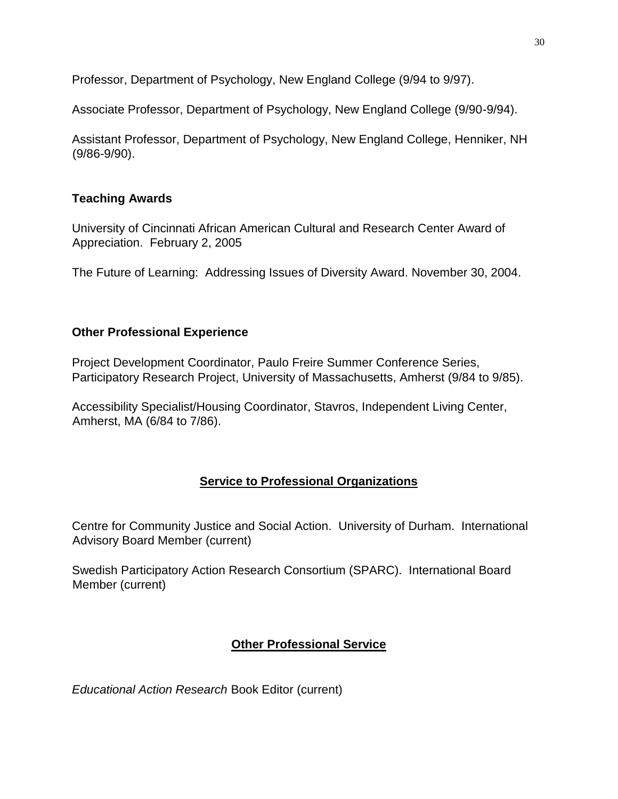Professor, Department of Psychology, New England College (9/94 to 9/97).

Associate Professor, Department of Psychology, New England College (9/90-9/94).

Assistant Professor, Department of Psychology, New England College, Henniker, NH (9/86-9/90).

# **Teaching Awards**

University of Cincinnati African American Cultural and Research Center Award of Appreciation. February 2, 2005

The Future of Learning: Addressing Issues of Diversity Award. November 30, 2004.

# **Other Professional Experience**

Project Development Coordinator, Paulo Freire Summer Conference Series, Participatory Research Project, University of Massachusetts, Amherst (9/84 to 9/85).

Accessibility Specialist/Housing Coordinator, Stavros, Independent Living Center, Amherst, MA (6/84 to 7/86).

# **Service to Professional Organizations**

Centre for Community Justice and Social Action. University of Durham. International Advisory Board Member (current)

Swedish Participatory Action Research Consortium (SPARC). International Board Member (current)

# **Other Professional Service**

*Educational Action Research* Book Editor (current)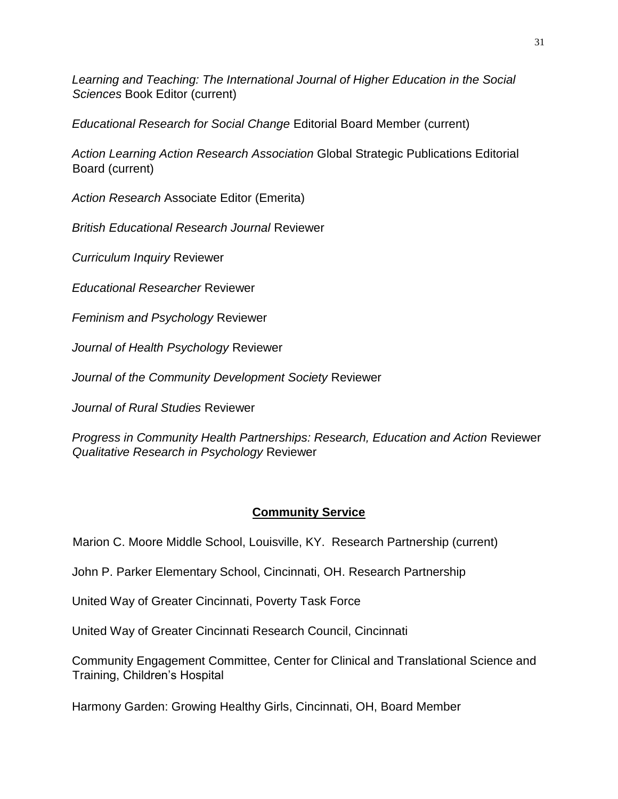*Learning and Teaching: The International Journal of Higher Education in the Social Sciences* Book Editor (current)

*Educational Research for Social Change* Editorial Board Member (current)

*Action Learning Action Research Association* Global Strategic Publications Editorial Board (current)

*Action Research* Associate Editor (Emerita)

*British Educational Research Journal* Reviewer

*Curriculum Inquiry* Reviewer

*Educational Researcher* Reviewer

*Feminism and Psychology* Reviewer

*Journal of Health Psychology* Reviewer

*Journal of the Community Development Society* Reviewer

*Journal of Rural Studies* Reviewer

*Progress in Community Health Partnerships: Research, Education and Action* Reviewer *Qualitative Research in Psychology* Reviewer

# **Community Service**

Marion C. Moore Middle School, Louisville, KY. Research Partnership (current)

John P. Parker Elementary School, Cincinnati, OH. Research Partnership

United Way of Greater Cincinnati, Poverty Task Force

United Way of Greater Cincinnati Research Council, Cincinnati

Community Engagement Committee, Center for Clinical and Translational Science and Training, Children's Hospital

Harmony Garden: Growing Healthy Girls, Cincinnati, OH, Board Member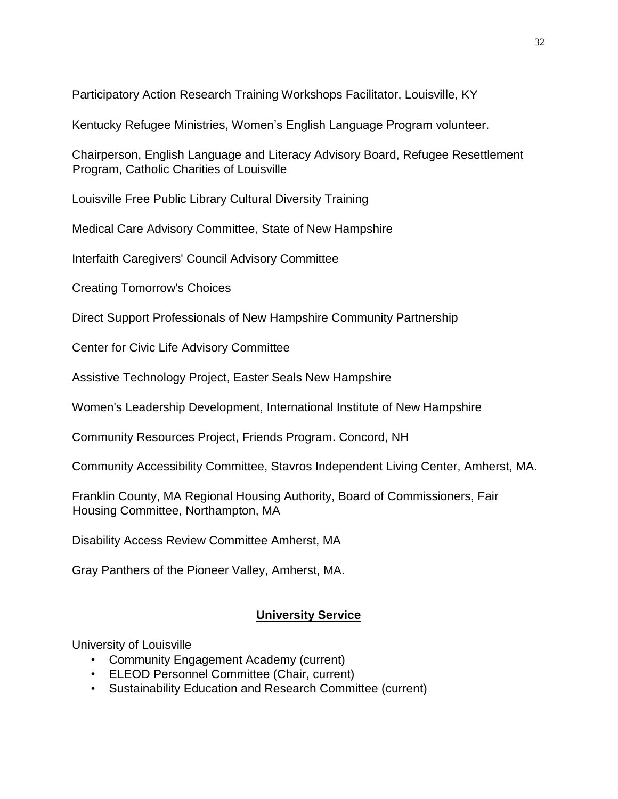Participatory Action Research Training Workshops Facilitator, Louisville, KY

Kentucky Refugee Ministries, Women's English Language Program volunteer.

Chairperson, English Language and Literacy Advisory Board, Refugee Resettlement Program, Catholic Charities of Louisville

Louisville Free Public Library Cultural Diversity Training

Medical Care Advisory Committee, State of New Hampshire

Interfaith Caregivers' Council Advisory Committee

Creating Tomorrow's Choices

Direct Support Professionals of New Hampshire Community Partnership

Center for Civic Life Advisory Committee

Assistive Technology Project, Easter Seals New Hampshire

Women's Leadership Development, International Institute of New Hampshire

Community Resources Project, Friends Program. Concord, NH

Community Accessibility Committee, Stavros Independent Living Center, Amherst, MA.

Franklin County, MA Regional Housing Authority, Board of Commissioners, Fair Housing Committee, Northampton, MA

Disability Access Review Committee Amherst, MA

Gray Panthers of the Pioneer Valley, Amherst, MA.

# **University Service**

University of Louisville

- Community Engagement Academy (current)
- ELEOD Personnel Committee (Chair, current)
- Sustainability Education and Research Committee (current)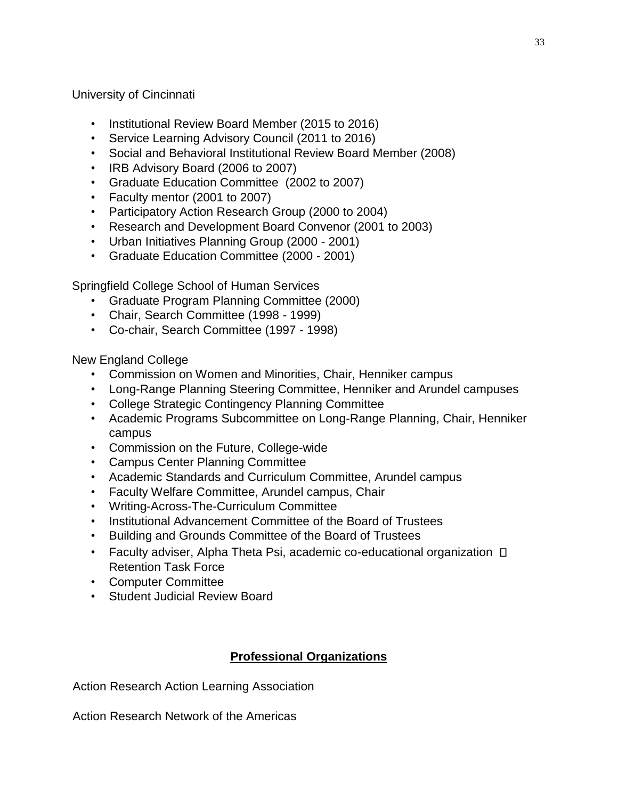University of Cincinnati

- Institutional Review Board Member (2015 to 2016)
- Service Learning Advisory Council (2011 to 2016)
- Social and Behavioral Institutional Review Board Member (2008)
- IRB Advisory Board (2006 to 2007)
- Graduate Education Committee (2002 to 2007)
- Faculty mentor (2001 to 2007)
- Participatory Action Research Group (2000 to 2004)
- Research and Development Board Convenor (2001 to 2003)
- Urban Initiatives Planning Group (2000 2001)
- Graduate Education Committee (2000 2001)

Springfield College School of Human Services

- Graduate Program Planning Committee (2000)
- Chair, Search Committee (1998 1999)
- Co-chair, Search Committee (1997 1998)

New England College

- Commission on Women and Minorities, Chair, Henniker campus
- Long-Range Planning Steering Committee, Henniker and Arundel campuses
- College Strategic Contingency Planning Committee
- Academic Programs Subcommittee on Long-Range Planning, Chair, Henniker campus
- Commission on the Future, College-wide
- Campus Center Planning Committee
- Academic Standards and Curriculum Committee, Arundel campus
- Faculty Welfare Committee, Arundel campus, Chair
- Writing-Across-The-Curriculum Committee
- Institutional Advancement Committee of the Board of Trustees
- Building and Grounds Committee of the Board of Trustees
- Faculty adviser, Alpha Theta Psi, academic co-educational organization  $\Box$ Retention Task Force
- Computer Committee
- Student Judicial Review Board

# **Professional Organizations**

Action Research Action Learning Association

Action Research Network of the Americas